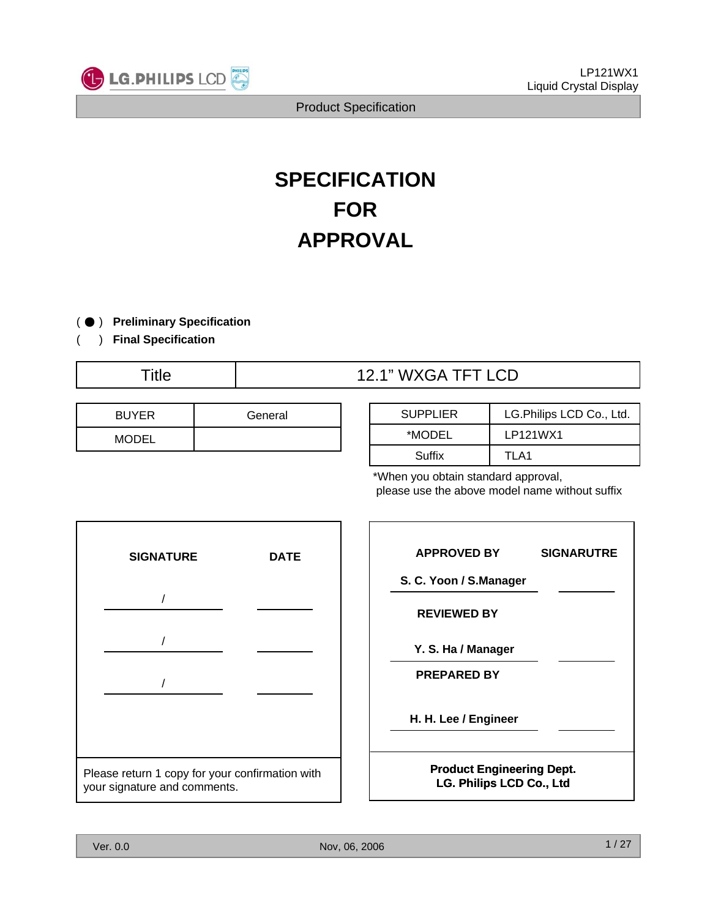

# **SPECIFICATION FOR APPROVAL**

) ● **Preliminary Specification**  $($ 

) **Final Specification**

(

## Title  $\qquad$  | 12.1" WXGA TFT LCD

| <b>BUYER</b> | General |
|--------------|---------|
| <b>MODEL</b> |         |

| <b>SUPPLIER</b> | LG.Philips LCD Co., Ltd. |
|-----------------|--------------------------|
| *MODEL          | LP121WX1                 |
| Suffix          | TI A1                    |

\*When you obtain standard approval, please use the above model name without suffix



| <b>APPROVED BY</b>               | <b>SIGNARUTRE</b> |
|----------------------------------|-------------------|
| S. C. Yoon / S.Manager           |                   |
| <b>REVIEWED BY</b>               |                   |
| Y. S. Ha / Manager               |                   |
| <b>PREPARED BY</b>               |                   |
| H. H. Lee / Engineer             |                   |
| <b>Product Engineering Dept.</b> |                   |
| <b>LG. Philips LCD Co., Ltd</b>  |                   |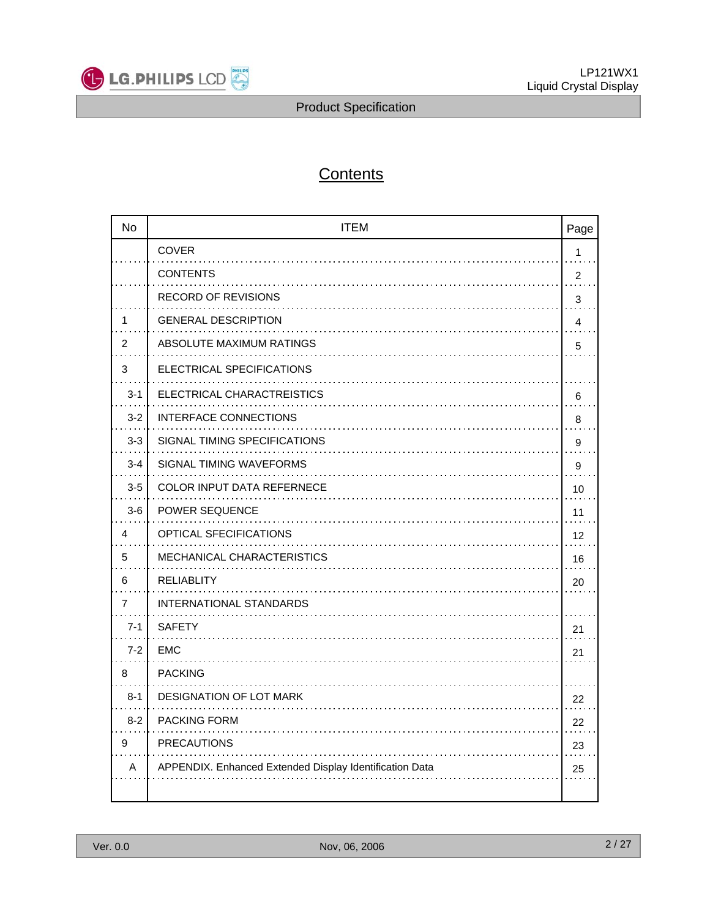

## **Contents**

| <b>No</b>      | <b>ITEM</b>                                             | Page         |
|----------------|---------------------------------------------------------|--------------|
|                | <b>COVER</b>                                            | $\mathbf{1}$ |
|                | <b>CONTENTS</b>                                         | 2            |
|                | <b>RECORD OF REVISIONS</b>                              | 3            |
| 1              | <b>GENERAL DESCRIPTION</b>                              | 4            |
| 2              | ABSOLUTE MAXIMUM RATINGS                                | 5            |
| 3              | ELECTRICAL SPECIFICATIONS                               |              |
| $3 - 1$        | ELECTRICAL CHARACTREISTICS                              | 6            |
| $3 - 2$        | INTERFACE CONNECTIONS                                   | 8            |
| $3 - 3$        | SIGNAL TIMING SPECIFICATIONS                            | 9            |
| $3 - 4$        | SIGNAL TIMING WAVEFORMS                                 | 9            |
| $3-5$          | <b>COLOR INPUT DATA REFERNECE</b>                       | 10           |
| $3-6$          | <b>POWER SEQUENCE</b>                                   | 11           |
| 4              | OPTICAL SFECIFICATIONS                                  | 12           |
| 5              | <b>MECHANICAL CHARACTERISTICS</b>                       | 16           |
| 6              | <b>RELIABLITY</b>                                       | 20           |
| $\overline{7}$ | INTERNATIONAL STANDARDS                                 |              |
| $7 - 1$        | <b>SAFETY</b>                                           | 21           |
| $7 - 2$        | <b>EMC</b>                                              | 21           |
| 8              | <b>PACKING</b>                                          |              |
| $8 - 1$        | DESIGNATION OF LOT MARK                                 | 22           |
| $8 - 2$        | PACKING FORM                                            | 22           |
| 9              | <b>PRECAUTIONS</b>                                      | 23           |
| A              | APPENDIX. Enhanced Extended Display Identification Data | 25           |
|                |                                                         |              |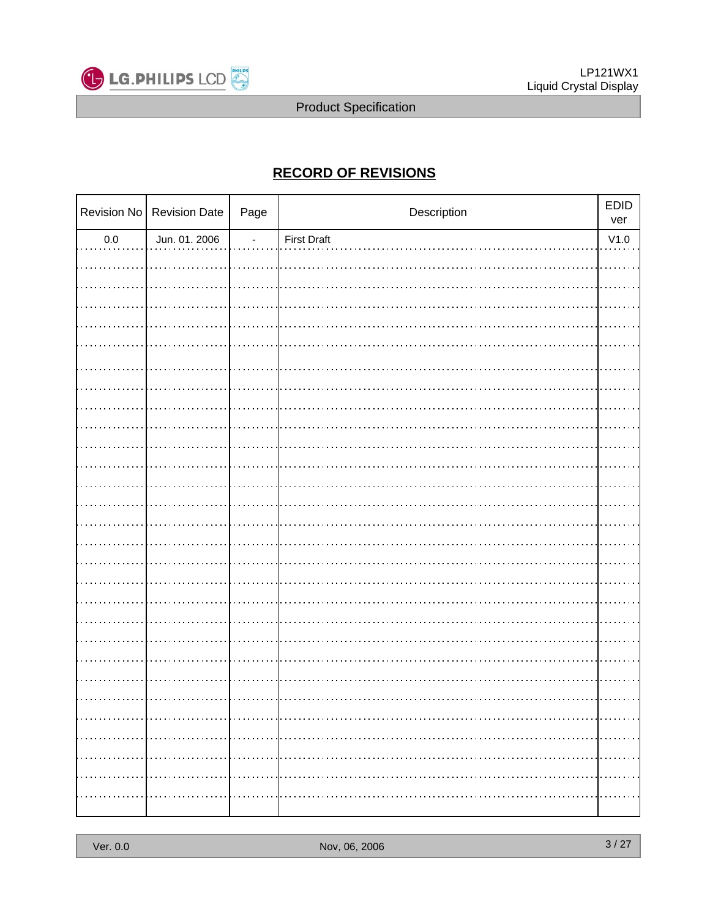

## **RECORD OF REVISIONS**

|            | Revision No   Revision Date | Page | Description        | EDID<br>ver |
|------------|-----------------------------|------|--------------------|-------------|
| $0.0\,$    | Jun. 01. 2006               | ÷    | <b>First Draft</b> | V1.0        |
|            |                             |      |                    |             |
|            |                             |      |                    |             |
|            |                             |      |                    |             |
|            |                             |      |                    |             |
|            |                             |      |                    |             |
|            |                             |      |                    |             |
|            |                             |      |                    |             |
|            |                             |      |                    |             |
|            |                             |      |                    |             |
|            |                             |      |                    |             |
|            |                             |      |                    |             |
|            |                             |      |                    |             |
|            |                             |      |                    |             |
|            |                             |      |                    |             |
|            |                             |      |                    |             |
|            |                             |      |                    |             |
|            |                             |      |                    |             |
|            |                             |      |                    |             |
|            |                             |      |                    |             |
|            |                             |      |                    |             |
|            |                             |      |                    |             |
|            |                             |      |                    |             |
|            |                             |      |                    |             |
|            | .                           |      |                    | .           |
| . <b>.</b> |                             |      |                    | .           |
| .          | .                           |      |                    | .           |
| .          | .                           |      |                    | .           |
| .          | . <b>.</b>                  | .    |                    | .           |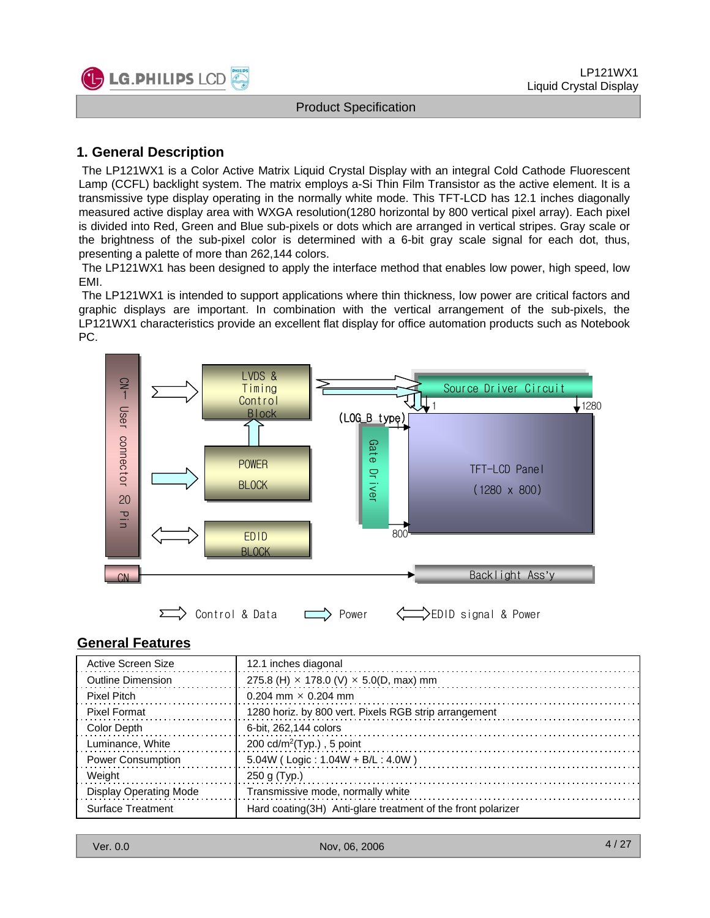

## **1. General Description**

**LG.PHILIPS LCD** 

The LP121WX1 is a Color Active Matrix Liquid Crystal Display with an integral Cold Cathode Fluorescent Lamp (CCFL) backlight system. The matrix employs a-Si Thin Film Transistor as the active element. It is a transmissive type display operating in the normally white mode. This TFT-LCD has 12.1 inches diagonally measured active display area with WXGA resolution(1280 horizontal by 800 vertical pixel array). Each pixel is divided into Red, Green and Blue sub-pixels or dots which are arranged in vertical stripes. Gray scale or the brightness of the sub-pixel color is determined with a 6-bit gray scale signal for each dot, thus, presenting a palette of more than 262,144 colors.

The LP121WX1 has been designed to apply the interface method that enables low power, high speed, low EMI.

The LP121WX1 is intended to support applications where thin thickness, low power are critical factors and graphic displays are important. In combination with the vertical arrangement of the sub-pixels, the LP121WX1 characteristics provide an excellent flat display for office automation products such as Notebook PC.



#### **General Features**

| Active Screen Size            | 12.1 inches diagonal                                         |
|-------------------------------|--------------------------------------------------------------|
| <b>Outline Dimension</b>      | 275.8 (H) $\times$ 178.0 (V) $\times$ 5.0(D, max) mm         |
| <b>Pixel Pitch</b>            | 0.204 mm $\times$ 0.204 mm                                   |
| <b>Pixel Format</b>           | 1280 horiz. by 800 vert. Pixels RGB strip arrangement        |
| Color Depth                   | 6-bit, 262,144 colors                                        |
| Luminance, White              | 200 cd/m <sup>2</sup> (Typ.), 5 point                        |
| <b>Power Consumption</b>      | $5.04W$ (Logic: $1.04W + B/L$ : $4.0W$ )                     |
| Weight                        | $250$ g (Typ.)                                               |
| <b>Display Operating Mode</b> | Transmissive mode, normally white                            |
| Surface Treatment             | Hard coating(3H) Anti-glare treatment of the front polarizer |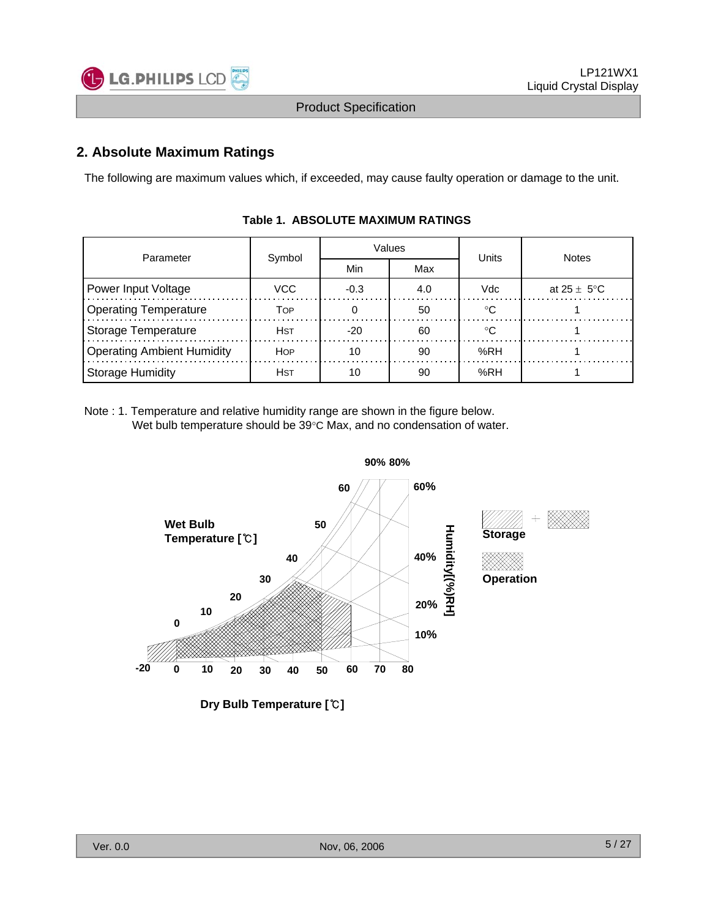

### **2. Absolute Maximum Ratings**

The following are maximum values which, if exceeded, may cause faulty operation or damage to the unit.

| Parameter                  |        |        | Values | Units | <b>Notes</b>            |  |  |
|----------------------------|--------|--------|--------|-------|-------------------------|--|--|
|                            | Symbol | Min    | Max    |       |                         |  |  |
| Power Input Voltage        | VCC.   | $-0.3$ | 4.0    | Vdc   | at $25 \pm 5^{\circ}$ C |  |  |
| Operating Temperature      | TOP    |        | 50     | ം     |                         |  |  |
| Storage Temperature        | Hst    | -20    | 60     |       |                         |  |  |
| Operating Ambient Humidity | HOP    | 10     | 90     | %RH   |                         |  |  |
| Storage Humidity           | Hst    | 10     | 90     | %RH   |                         |  |  |

#### **Table 1. ABSOLUTE MAXIMUM RATINGS**

Note : 1. Temperature and relative humidity range are shown in the figure below. Wet bulb temperature should be 39°C Max, and no condensation of water.

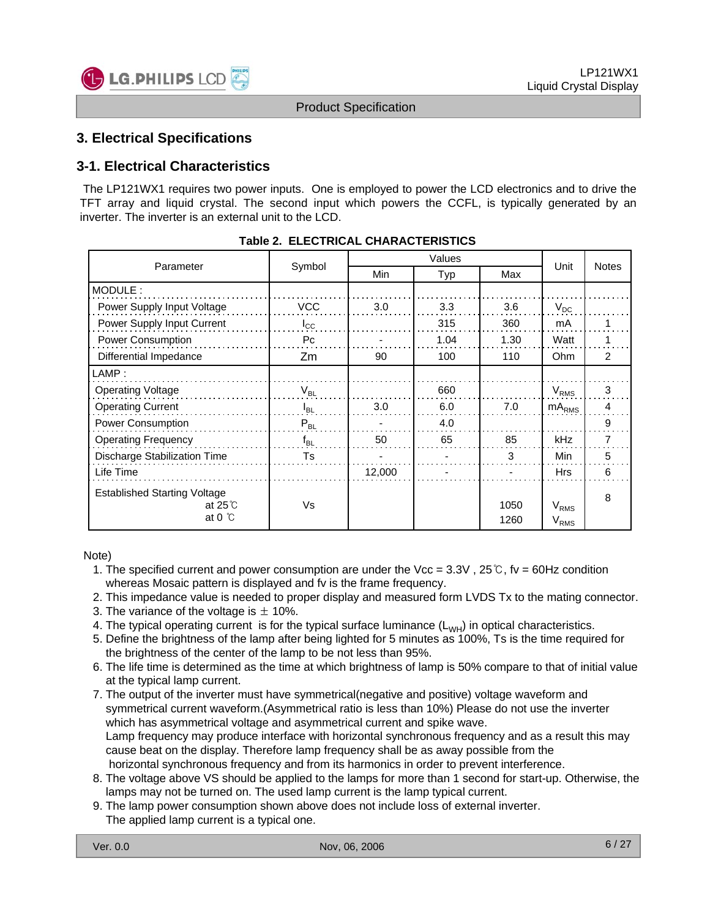

## **3. Electrical Specifications**

#### **3-1. Electrical Characteristics**

The LP121WX1 requires two power inputs. One is employed to power the LCD electronics and to drive the TFT array and liquid crystal. The second input which powers the CCFL, is typically generated by an inverter. The inverter is an external unit to the LCD.

| Parameter                                                                | Symbol       | Min    | Typ  | Max          | Unit                   | <b>Notes</b>   |
|--------------------------------------------------------------------------|--------------|--------|------|--------------|------------------------|----------------|
| MODULE:                                                                  |              |        |      |              |                        |                |
| Power Supply Input Voltage                                               | VCC          | 3.0    | 3.3  | 3.6          | $V_{DC}$               |                |
| Power Supply Input Current                                               | $I_{\rm CC}$ |        | 315  | 360          | mA                     |                |
| Power Consumption                                                        | Pc           |        | 1.04 | 1.30         | Watt                   |                |
| Differential Impedance                                                   | Zm           | 90     | 100  | 110          | Ohm                    | $\overline{2}$ |
| LAMP:                                                                    |              |        |      |              |                        |                |
| <b>Operating Voltage</b>                                                 | $V_{BL}$     |        | 660  |              | $V_{RMS}$              | 3              |
| <b>Operating Current</b>                                                 | $I_{BL}$     | 3.0    | 6.0  | 7.0          | $mA_{RMS}$             | 4              |
| Power Consumption                                                        | $P_{BL}$     |        | 4.0  |              |                        | 9              |
| <b>Operating Frequency</b>                                               | $f_{BL}$     | 50     | 65   | 85           | <b>kHz</b>             | 7              |
| Discharge Stabilization Time                                             | Ts           |        |      | 3            | Min                    | 5              |
| Life Time                                                                |              | 12,000 |      |              | <b>Hrs</b>             | 6              |
| <b>Established Starting Voltage</b><br>at $25^\circ$<br>at $0^{\circ}$ C | Vs           |        |      | 1050<br>1260 | $V_{RMS}$<br>$V_{RMS}$ | 8              |

#### **Table 2. ELECTRICAL CHARACTERISTICS**

Note)

- 1. The specified current and power consumption are under the Vcc =  $3.3V$ ,  $25^{\circ}$ C, fv = 60Hz condition whereas Mosaic pattern is displayed and fv is the frame frequency.
- 2. This impedance value is needed to proper display and measured form LVDS Tx to the mating connector.
- 3. The variance of the voltage is  $\pm$  10%.
- 4. The typical operating current is for the typical surface luminance  $(L_{WH})$  in optical characteristics.
- 5. Define the brightness of the lamp after being lighted for 5 minutes as 100%, Ts is the time required for the brightness of the center of the lamp to be not less than 95%.
- 6. The life time is determined as the time at which brightness of lamp is 50% compare to that of initial value at the typical lamp current.
- 7. The output of the inverter must have symmetrical(negative and positive) voltage waveform and symmetrical current waveform.(Asymmetrical ratio is less than 10%) Please do not use the inverter which has asymmetrical voltage and asymmetrical current and spike wave. Lamp frequency may produce interface with horizontal synchronous frequency and as a result this may cause beat on the display. Therefore lamp frequency shall be as away possible from the horizontal synchronous frequency and from its harmonics in order to prevent interference.
- 8. The voltage above VS should be applied to the lamps for more than 1 second for start-up. Otherwise, the lamps may not be turned on. The used lamp current is the lamp typical current.
- 9. The lamp power consumption shown above does not include loss of external inverter. The applied lamp current is a typical one.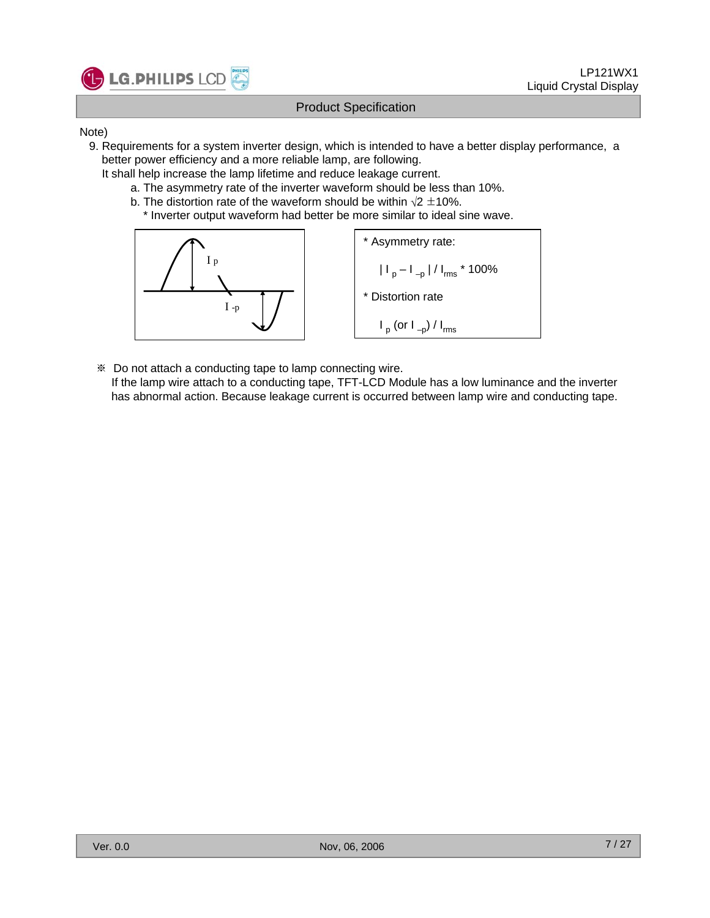

#### Note)

- 9. Requirements for a system inverter design, which is intended to have a better display performance, a better power efficiency and a more reliable lamp, are following.
	- It shall help increase the lamp lifetime and reduce leakage current.
		- a. The asymmetry rate of the inverter waveform should be less than 10%.
		- b. The distortion rate of the waveform should be within  $\sqrt{2} \pm 10\%$ . \* Inverter output waveform had better be more similar to ideal sine wave.



※ Do not attach a conducting tape to lamp connecting wire.

If the lamp wire attach to a conducting tape, TFT-LCD Module has a low luminance and the inverter has abnormal action. Because leakage current is occurred between lamp wire and conducting tape.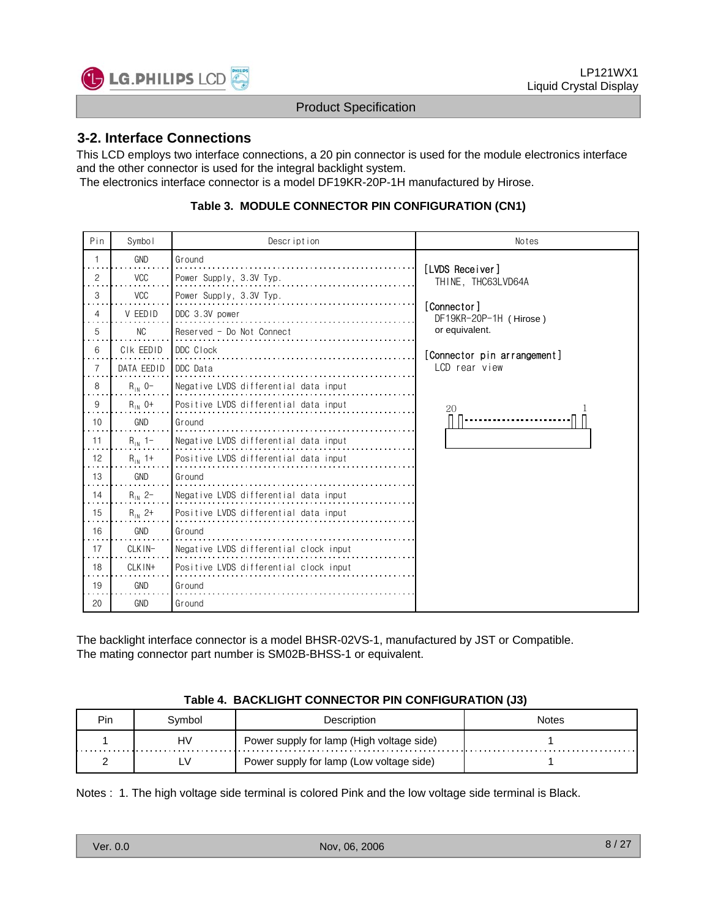

#### **3-2. Interface Connections**

This LCD employs two interface connections, a 20 pin connector is used for the module electronics interface and the other connector is used for the integral backlight system.

The electronics interface connector is a model DF19KR-20P-1H manufactured by Hirose.

#### **Table 3. MODULE CONNECTOR PIN CONFIGURATION (CN1)**

| Pin            | Symbol         | Description                            | Notes                                 |
|----------------|----------------|----------------------------------------|---------------------------------------|
|                | <b>GND</b>     | Ground                                 |                                       |
| $\overline{c}$ | <b>VCC</b>     | Power Supply, 3.3V Typ.                | [LVDS Receiver]<br>THINE, THC63LVD64A |
| 3              | <b>VCC</b>     | Power Supply, 3.3V Typ.                |                                       |
| 4              | V EEDID        | DDC 3.3V power                         | [Connector]<br>DF19KR-20P-1H (Hirose) |
| 5<br>.         | N <sub>C</sub> | Reserved - Do Not Connect              | or equivalent.                        |
| 6              | CIK EEDID      | DDC Clock                              | [Connector pin arrangement]           |
| $\overline{7}$ | DATA EEDID     | DDC Data                               | LCD rear view                         |
| 8              | $R_{IN}$ 0-    | Negative LVDS differential data input  |                                       |
| 9              | $R_{IN}$ 0+    | Positive LVDS differential data input  | 20                                    |
| 10             | GND            | Ground                                 |                                       |
| 11             | $R_{1N}$ 1-    | Negative LVDS differential data input  |                                       |
| 12             | $R_{IN}$ 1+    | Positive LVDS differential data input  |                                       |
| 13             | GND            | Ground                                 |                                       |
| 14<br>. .      | $R_{1N}$ 2-    | Negative LVDS differential data input  |                                       |
| 15             | $R_{IN}$ 2+    | Positive LVDS differential data input  |                                       |
| 16             | <b>GND</b>     | Ground                                 |                                       |
| 17             | CLKIN-         | Negative LVDS differential clock input |                                       |
| 18             | $CI$ K $IN+$   | Positive LVDS differential clock input |                                       |
| 19             | <b>GND</b>     | Ground                                 |                                       |
| 20             | <b>GND</b>     | Ground                                 |                                       |

The backlight interface connector is a model BHSR-02VS-1, manufactured by JST or Compatible. The mating connector part number is SM02B-BHSS-1 or equivalent.

#### **Table 4. BACKLIGHT CONNECTOR PIN CONFIGURATION (J3)**

| Pin | svmbol | Description                               | votes |
|-----|--------|-------------------------------------------|-------|
|     | HV     | Power supply for lamp (High voltage side) |       |
|     |        | Power supply for lamp (Low voltage side)  |       |

Notes : 1. The high voltage side terminal is colored Pink and the low voltage side terminal is Black.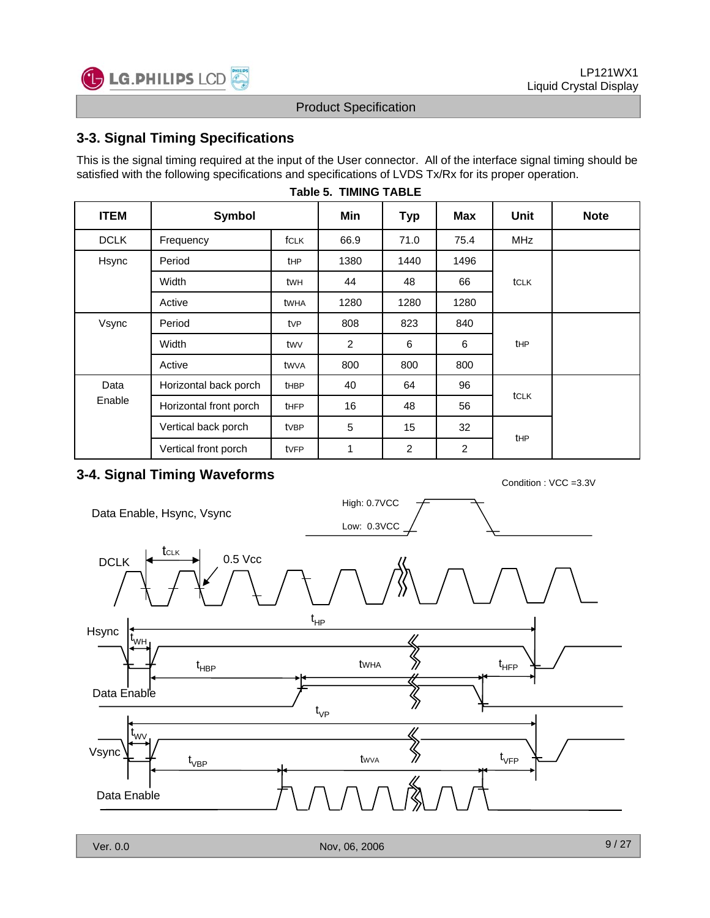

## **3-3. Signal Timing Specifications**

**C** LG. PHILIPS LCD

This is the signal timing required at the input of the User connector. All of the interface signal timing should be satisfied with the following specifications and specifications of LVDS Tx/Rx for its proper operation.

| <b>ITEM</b> | Symbol                 |             | Min  | <b>Typ</b> | Max  | Unit       | <b>Note</b> |
|-------------|------------------------|-------------|------|------------|------|------------|-------------|
| <b>DCLK</b> | Frequency<br>fCLK      |             | 66.9 | 71.0       | 75.4 | <b>MHz</b> |             |
| Hsync       | Period                 | tHP         | 1380 | 1440       | 1496 |            |             |
|             | Width                  | twh         | 44   | 48         | 66   | tCLK       |             |
|             | Active                 | twha        | 1280 | 1280       | 1280 |            |             |
| Vsync       | Period                 | <b>t</b> VP | 808  | 823        | 840  |            |             |
|             | Width                  | twy         | 2    | 6          | 6    | tHP        |             |
|             | Active                 | twva        | 800  | 800        | 800  |            |             |
| Data        | Horizontal back porch  | <b>tHBP</b> | 40   | 64         | 96   |            |             |
| Enable      | Horizontal front porch | <b>tHFP</b> | 16   | 48         | 56   | tCLK       |             |
|             | Vertical back porch    | tvBP        | 5    | 15         | 32   |            |             |
|             | Vertical front porch   | tvFP        | 1    | 2          | 2    | tHP        |             |

#### **Table 5. TIMING TABLE**

## **3-4. Signal Timing Waveforms** Condition : VCC =3.3V



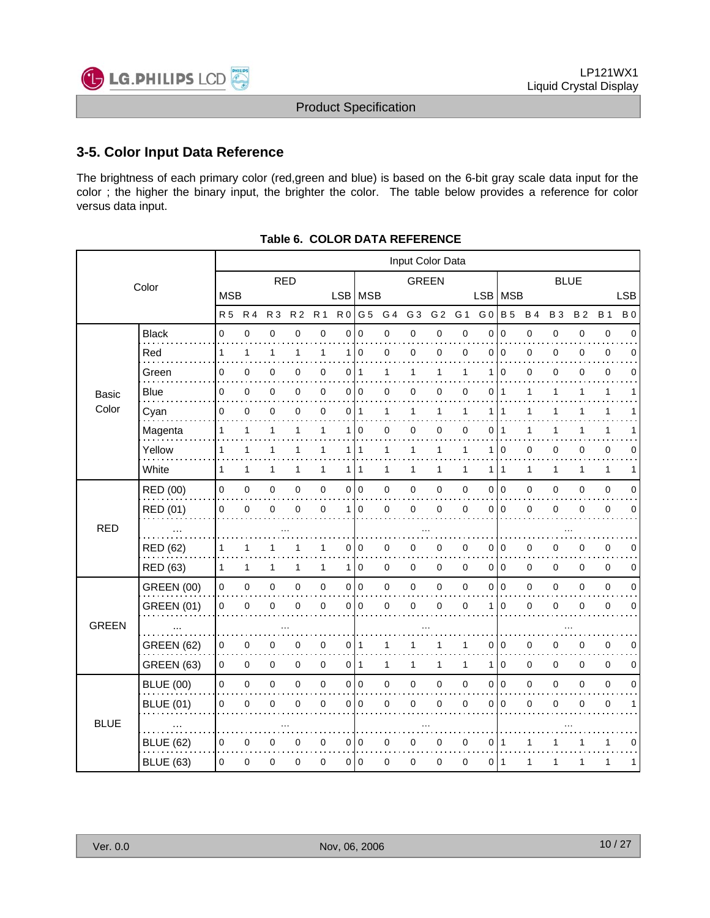## **3-5. Color Input Data Reference**

The brightness of each primary color (red,green and blue) is based on the 6-bit gray scale data input for the color ; the higher the binary input, the brighter the color. The table below provides a reference for color versus data input.

|              |                   | Input Color Data |              |                |                |                     |                |              |                |                |                |                |                |                 |           |             |              |              |            |
|--------------|-------------------|------------------|--------------|----------------|----------------|---------------------|----------------|--------------|----------------|----------------|----------------|----------------|----------------|-----------------|-----------|-------------|--------------|--------------|------------|
|              | Color             | <b>RED</b>       |              |                |                | <b>GREEN</b>        |                |              |                | <b>BLUE</b>    |                |                |                |                 |           |             |              |              |            |
|              |                   | <b>MSB</b>       |              |                |                |                     | LSB MSB        |              |                |                |                |                |                | LSB   MSB       |           |             |              |              | <b>LSB</b> |
|              |                   | <b>R5</b>        | <b>R4</b>    | R <sub>3</sub> | R <sub>2</sub> | <b>R1</b>           |                | R0 G5        | G <sub>4</sub> | G <sub>3</sub> | G <sub>2</sub> | G <sub>1</sub> | G <sub>0</sub> | <b>B</b> 5      | <b>B4</b> | <b>B3</b>   | <b>B2</b>    | <b>B</b> 1   | <b>B</b> 0 |
|              | <b>Black</b><br>. | $\mathbf 0$      | 0            | $\mathbf 0$    | 0              | $\pmb{0}$           | $\overline{0}$ | $\mathbf 0$  | 0              | 0              | 0              | 0              | 0              | $\mathbf 0$     | 0         | $\mathbf 0$ | 0            | $\mathbf 0$  | 0          |
|              | Red               | 1                | $\mathbf{1}$ | 1              | 1              | 1                   | $\mathbf 1$    | $\mathbf 0$  | 0              | 0              | 0              | 0              | $\mathbf{0}$   | $\Omega$        | 0         | $\mathbf 0$ | 0            | 0            | 0          |
|              | Green             | 0                | 0            | $\mathbf 0$    | 0              | $\pmb{0}$           | 0              | $\mathbf{1}$ | 1              | $\mathbf{1}$   | 1              | 1              | 1              | $\Omega$        | 0         | $\Omega$    | $\mathbf 0$  | $\mathbf 0$  | 0          |
| Basic        | Blue              | 0                | 0            | 0              | 0              | 0                   | 0              | 0            | 0              | 0              | 0              | 0              | 0              | $\mathbf{1}$    | 1         | 1           | 1            | 1            | 1          |
| Color        | Cyan              | 0                | 0            | $\mathbf 0$    | $\Omega$       | $\mathbf 0$         | 0              | $\mathbf{1}$ | 1              | $\mathbf{1}$   | $\mathbf{1}$   | 1              | 1              | 1               | 1         | 1           | 1            | 1            | 1          |
|              | Magenta           | 1                | 1            | 1              | 1              | 1                   | 1              | $\mathbf 0$  | 0              | 0              | 0              | 0              | 0              | 1               | 1         | 1           |              | 1            | 1          |
|              | Yellow            | 1                | $\mathbf{1}$ | 1              | 1              | 1                   |                | 111          | 1              | 1              | $\mathbf{1}$   | 1              | 1              | $\mathbf 0$     | 0         | 0           | 0            | 0            | 0          |
|              | White             | $\mathbf{1}$     | $\mathbf{1}$ | 1              | 1              | $\mathbf{1}$        | 1 <sup>1</sup> | 1            | 1              | $\mathbf{1}$   | 1              | 1              | 1 I            | $\overline{1}$  | 1         | 1           | $\mathbf{1}$ | $\mathbf{1}$ | 1          |
|              | RED (00)          | $\mathbf 0$      | 0            | $\pmb{0}$      | 0              | $\mathsf{O}\xspace$ | $\circ$        | l o          | 0              | $\mathbf 0$    | 0              | 0              | $\overline{0}$ | $\overline{0}$  | 0         | $\mathbf 0$ | $\mathbf 0$  | $\mathbf 0$  | 0          |
|              | RED (01)          | 0                | $\mathbf 0$  | $\mathbf 0$    | $\Omega$       | $\mathbf 0$         | $\mathbf{1}$   | $\mathbf 0$  | 0              | $\mathbf 0$    | 0              | $\mathbf 0$    | 0              | $\Omega$        | 0         | $\mathbf 0$ | $\mathbf 0$  | $\mathbf 0$  | 0          |
| <b>RED</b>   | $\cdot$           |                  |              |                |                |                     |                |              |                |                |                |                |                |                 |           |             |              |              |            |
|              | RED (62)          | 1                | 1            | 1              |                | 1                   | 0              | 0            | 0              | 0              | 0              | 0              | 0              | $\mathbf 0$     | 0         | 0           | 0            | 0            | 0          |
|              | RED (63)          | 1                | $\mathbf{1}$ | 1              | 1              | $\mathbf{1}$        | 1 <sup>1</sup> | $\mathbf 0$  | 0              | 0              | 0              | 0              |                | 0 <sup>10</sup> | 0         | 0           | $\mathbf 0$  | $\mathbf 0$  | 0          |
|              | <b>GREEN (00)</b> | $\mathbf 0$      | $\mathbf 0$  | $\pmb{0}$      | 0              | $\mathsf{O}\xspace$ |                | 0 0          | 0              | $\pmb{0}$      | 0              | $\mathbf 0$    |                | 0 0             | 0         | 0           | 0            | $\mathbf 0$  | 0          |
|              | <b>GREEN (01)</b> | $\mathbf 0$      | $\mathbf 0$  | $\mathbf 0$    | $\Omega$       | $\pmb{0}$           | 0              | $\mathbf 0$  | 0              | $\pmb{0}$      | $\pmb{0}$      | $\mathbf 0$    | 1              | $\mathbf 0$     | 0         | $\mathbf 0$ | 0            | $\mathbf 0$  | 0          |
| <b>GREEN</b> | $\ddotsc$         |                  |              |                |                |                     |                |              |                |                |                |                |                |                 |           |             |              |              |            |
|              | <b>GREEN (62)</b> | 0                | 0            | 0              | 0              | $\pmb{0}$           | 0              | $\mathbf{1}$ | 1              | 1              | 1              | 1              | 0              | 0               | $\pmb{0}$ | 0           | 0            | $\pmb{0}$    | 0          |
|              | <b>GREEN (63)</b> | 0                | 0            | $\mathbf 0$    | 0              | $\mathbf 0$         | 01             | $\mathbf{1}$ | 1              | $\mathbf{1}$   | 1              | 1              | 1              | 0               | 0         | 0           | 0            | 0            | 0          |
|              | <b>BLUE (00)</b>  | $\pmb{0}$        | $\pmb{0}$    | $\pmb{0}$      | 0              | $\mathsf{O}\xspace$ |                | 0 0          | 0              | $\mathbf 0$    | 0              | $\pmb{0}$      | $\overline{0}$ | $\overline{0}$  | 0         | 0           | 0            | $\mathbf 0$  | 0          |
|              | <b>BLUE (01)</b>  | $\mathbf 0$      | $\mathbf 0$  | $\pmb{0}$      | 0              | $\pmb{0}$           | 0              | $\mathbf 0$  | 0              | $\pmb{0}$      | 0              | $\mathbf 0$    | 0              | $\mathbf 0$     | 0         | 0           | $\mathbf 0$  | $\mathbf 0$  | 1          |
| <b>BLUE</b>  | $\cdots$          |                  |              |                |                |                     |                |              |                |                |                |                |                |                 |           |             |              |              |            |
|              | <b>BLUE (62)</b>  | 0                | 0            | 0              | 0              | $\mathbf 0$         |                | 010          | 0              | 0              | 0              | 0              | 011            |                 | 1         | 1           |              | 1            | 0          |
|              | <b>BLUE (63)</b>  | 0                | 0            | $\mathbf 0$    | 0              | $\mathbf 0$         | 0              | $\mathbf 0$  | 0              | 0              | 0              | 0              | 011            |                 | 1         | 1           | 1            | 1            | 1          |
|              |                   |                  |              |                |                |                     |                |              |                |                |                |                |                |                 |           |             |              |              |            |

#### **Table 6. COLOR DATA REFERENCE**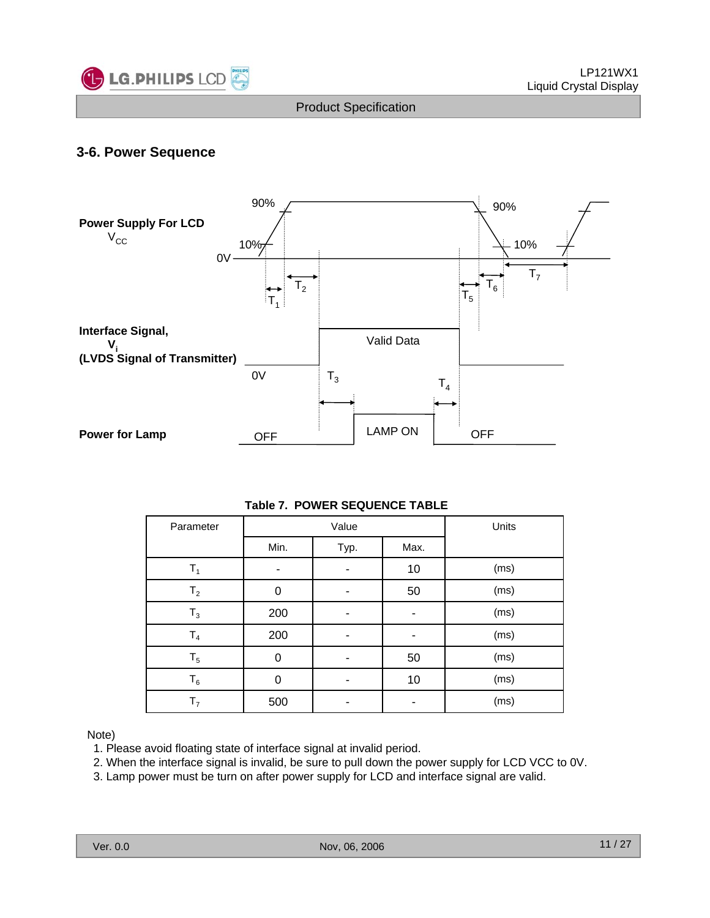

### **3-6. Power Sequence**



#### **Table 7. POWER SEQUENCE TABLE**

| Parameter      | Value |      |      | Units |
|----------------|-------|------|------|-------|
|                | Min.  | Typ. | Max. |       |
| $T_{1}$        |       |      | 10   | (ms)  |
| T <sub>2</sub> | 0     |      | 50   | (ms)  |
| $T_3$          | 200   |      |      | (ms)  |
| ${\sf T}_4$    | 200   | ۰    |      | (ms)  |
| $T_5$          | 0     | -    | 50   | (ms)  |
| $T_6$          | 0     |      | 10   | (ms)  |
| T <sub>7</sub> | 500   |      |      | (ms)  |

#### Note)

- 1. Please avoid floating state of interface signal at invalid period.
- 2. When the interface signal is invalid, be sure to pull down the power supply for LCD VCC to 0V.
- 3. Lamp power must be turn on after power supply for LCD and interface signal are valid.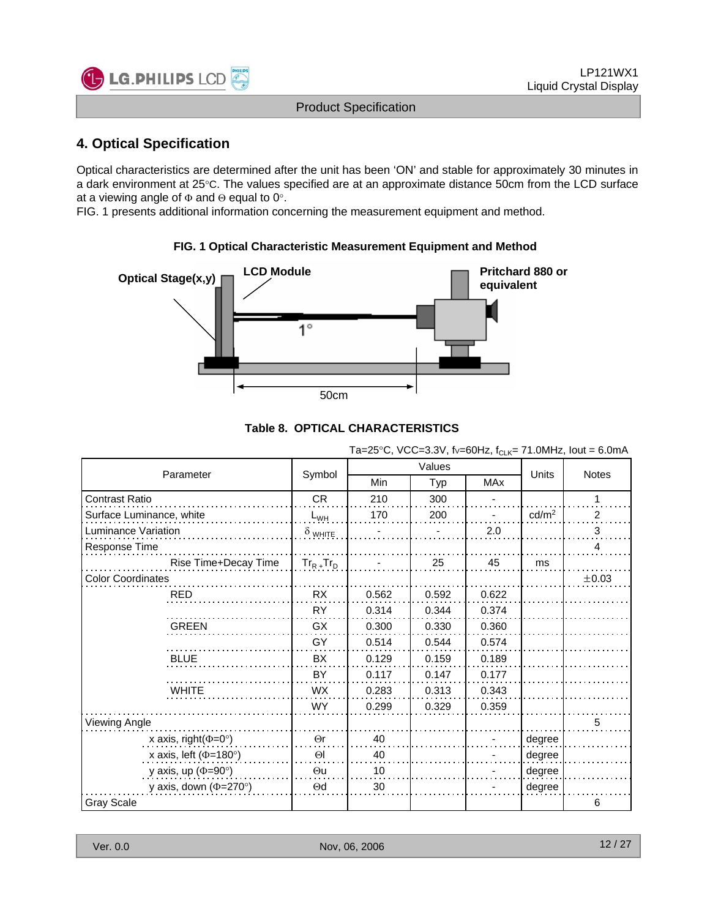

## **4. Optical Specification**

Optical characteristics are determined after the unit has been 'ON' and stable for approximately 30 minutes in a dark environment at 25°C. The values specified are at an approximate distance 50cm from the LCD surface at a viewing angle of  $\Phi$  and  $\Theta$  equal to 0°.

FIG. 1 presents additional information concerning the measurement equipment and method.



#### **FIG. 1 Optical Characteristic Measurement Equipment and Method**

#### **Table 8. OPTICAL CHARACTERISTICS**

Ta=25°C, VCC=3.3V, fv=60Hz,  $f_{C-K}$ = 71.0MHz, lout = 6.0mA

|                              |                 |            |        | ◡└い        |                   |                |  |
|------------------------------|-----------------|------------|--------|------------|-------------------|----------------|--|
|                              |                 |            | Values |            |                   |                |  |
| Parameter                    | Symbol          | <b>Min</b> | Typ    | <b>MAx</b> | <b>Units</b>      | <b>Notes</b>   |  |
| <b>Contrast Ratio</b>        | CR              | 210        | 300    |            |                   |                |  |
| Surface Luminance, white     | $L_{WH}$        | 170        | 200    |            | cd/m <sup>2</sup> | $\overline{c}$ |  |
| Luminance Variation          | $\delta$ white  |            |        | 2.0        |                   | 3              |  |
| Response Time                |                 |            |        |            |                   | 4              |  |
| Rise Time+Decay Time         | $Tr_{R+}Tr_{D}$ |            | 25     | 45         | ms                |                |  |
| <b>Color Coordinates</b>     |                 |            |        |            |                   | $\pm 0.03$     |  |
| <b>RED</b>                   | RX              | 0.562      | 0.592  | 0.622      |                   |                |  |
|                              | <b>RY</b>       | 0.314      | 0.344  | 0.374      |                   |                |  |
| <b>GREEN</b>                 | <b>GX</b>       | 0.300      | 0.330  | 0.360      |                   |                |  |
|                              | GY              | 0.514      | 0.544  | 0.574      |                   |                |  |
| <b>BLUE</b>                  | BX              | 0.129      | 0.159  | 0.189      |                   |                |  |
|                              | BY              | 0.117      | 0.147  | 0.177      |                   |                |  |
| <b>WHITE</b>                 | <b>WX</b>       | 0.283      | 0.313  | 0.343      |                   |                |  |
|                              | <b>WY</b>       | 0.299      | 0.329  | 0.359      |                   |                |  |
| Viewing Angle                |                 |            |        |            |                   | 5              |  |
| x axis, right( $\Phi$ =0°)   | $\Theta$ r      | 40         |        |            | degree            |                |  |
| x axis, left ( $\Phi$ =180°) | $\Theta$        | 40         |        |            | degree            |                |  |
| y axis, up ( $\Phi$ =90°)    | $\Theta$ u      | 10         |        |            | degree            |                |  |
| y axis, down ( $\Phi$ =270°) | $\Theta$ d      | 30         |        |            | degree            |                |  |
| <b>Gray Scale</b>            |                 |            |        |            |                   | 6              |  |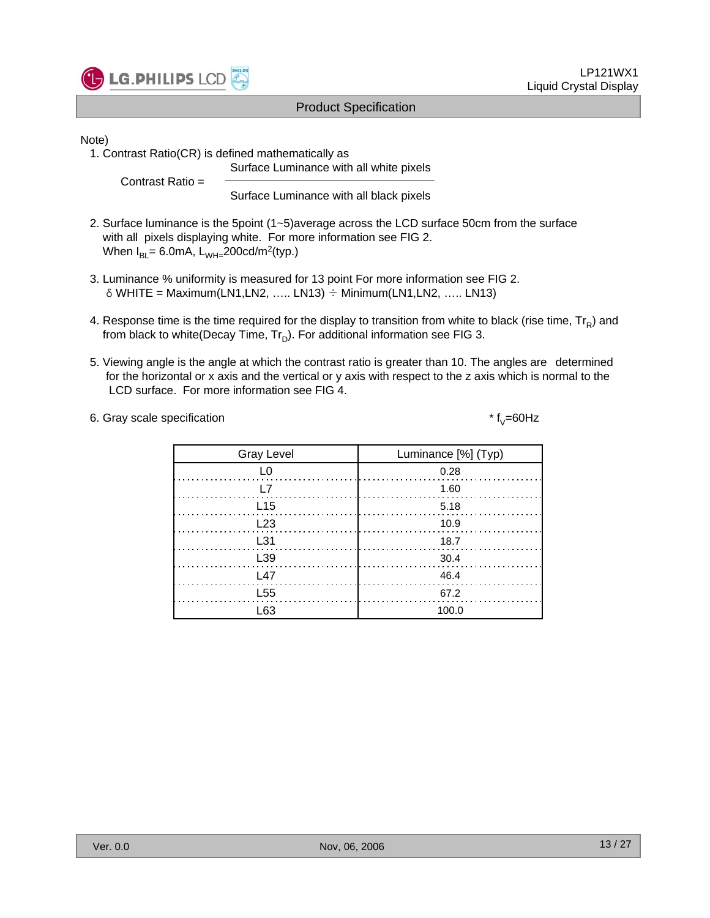

Note)

1. Contrast Ratio(CR) is defined mathematically as

Surface Luminance with all white pixels

Contrast Ratio =

Surface Luminance with all black pixels

- 2. Surface luminance is the 5point (1~5)average across the LCD surface 50cm from the surface with all pixels displaying white. For more information see FIG 2. When  $I_{BI} = 6.0$ mA,  $L_{WH} = 200$ cd/m<sup>2</sup>(typ.)
- 3. Luminance % uniformity is measured for 13 point For more information see FIG 2.  $\delta$  WHITE = Maximum(LN1,LN2, ..... LN13)  $\div$  Minimum(LN1,LN2, ..... LN13)
- 4. Response time is the time required for the display to transition from white to black (rise time,  $Tr_R$ ) and from black to white(Decay Time,  $Tr_D$ ). For additional information see FIG 3.
- 5. Viewing angle is the angle at which the contrast ratio is greater than 10. The angles are determined for the horizontal or x axis and the vertical or y axis with respect to the z axis which is normal to the LCD surface. For more information see FIG 4.

6. Gray scale specification  $* f_V = 60 Hz$ 

| <b>Gray Level</b> | Luminance [%] (Typ)                                              |
|-------------------|------------------------------------------------------------------|
|                   | 0.28                                                             |
|                   | 1.60                                                             |
| L15               |                                                                  |
| L23               | 10.9                                                             |
| L31               | - 18.7                                                           |
| L <sub>39</sub>   | $\begin{array}{ c c c c }\n\hline\n&30.4 \\ \hline\n\end{array}$ |
| l 47              | -46.4                                                            |
| L <sub>55</sub>   | 67.2                                                             |
| -63               | 100.0                                                            |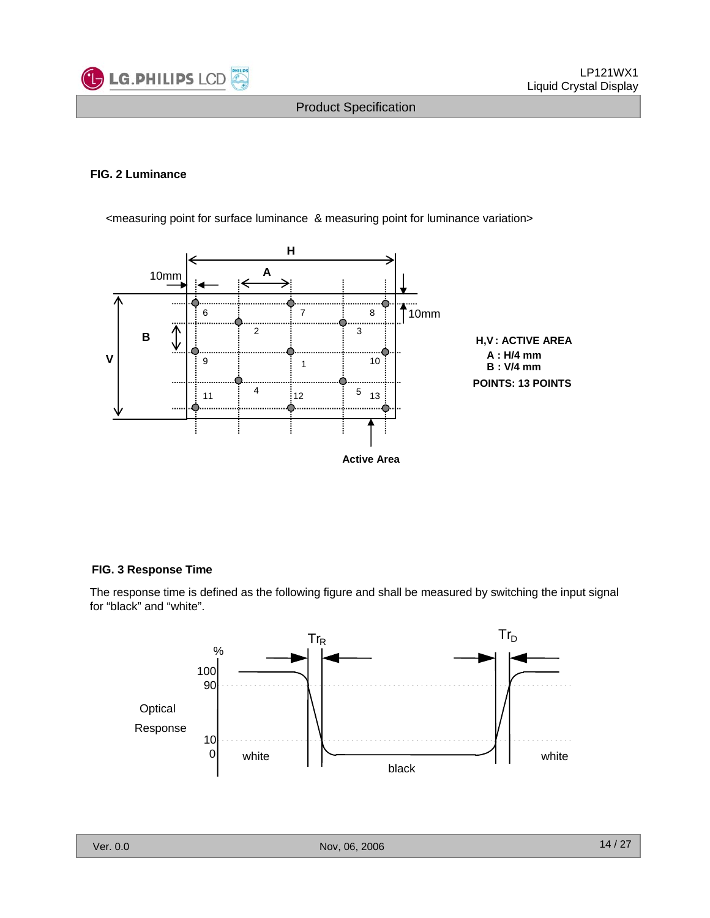

#### **FIG. 2 Luminance**



<measuring point for surface luminance & measuring point for luminance variation>

#### **FIG. 3 Response Time**

The response time is defined as the following figure and shall be measured by switching the input signal for "black" and "white".

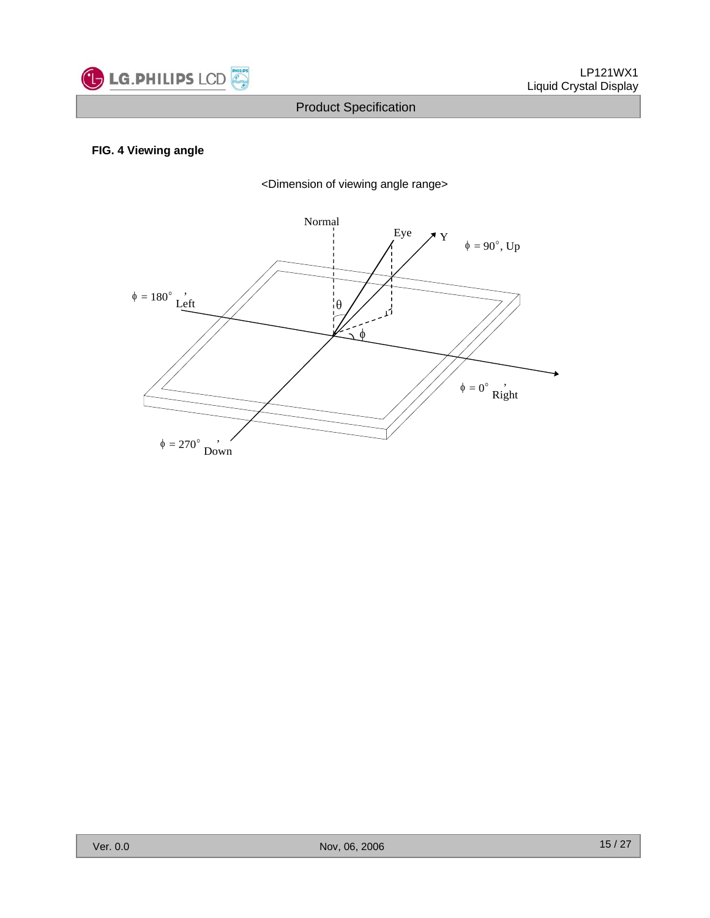

#### **FIG. 4 Viewing angle**

<Dimension of viewing angle range>

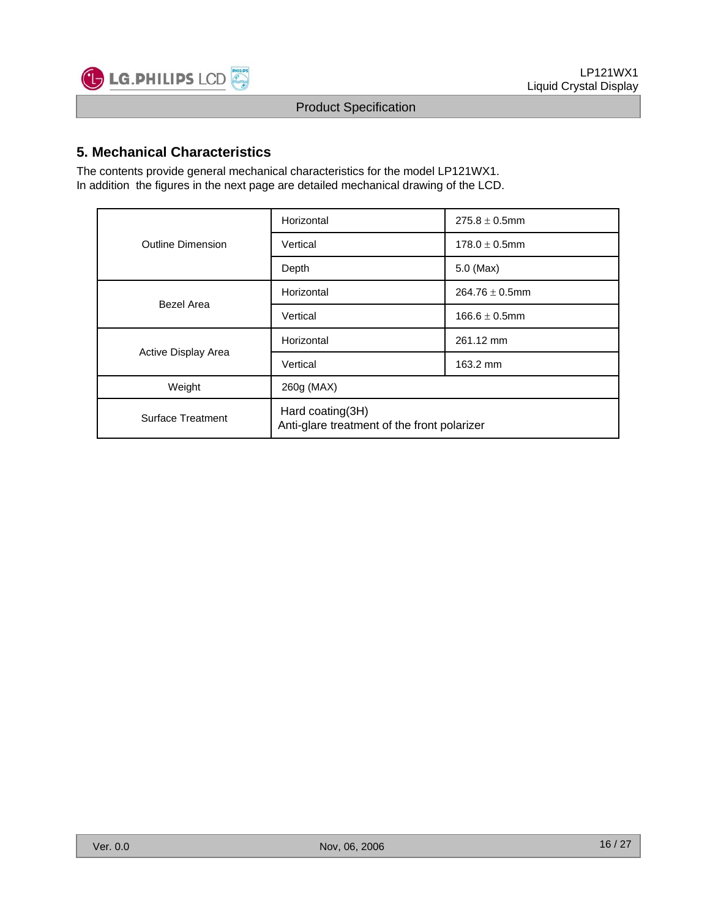

## **5. Mechanical Characteristics**

The contents provide general mechanical characteristics for the model LP121WX1. In addition the figures in the next page are detailed mechanical drawing of the LCD.

|                     | Horizontal                                                      | $275.8 \pm 0.5$ mm  |  |  |  |
|---------------------|-----------------------------------------------------------------|---------------------|--|--|--|
| Outline Dimension   | Vertical                                                        | $178.0 \pm 0.5$ mm  |  |  |  |
|                     | Depth                                                           | $5.0$ (Max)         |  |  |  |
| Bezel Area          | Horizontal                                                      | $264.76 \pm 0.5$ mm |  |  |  |
|                     | Vertical                                                        | $166.6 \pm 0.5$ mm  |  |  |  |
|                     | Horizontal                                                      | 261.12 mm           |  |  |  |
| Active Display Area | Vertical                                                        | 163.2 mm            |  |  |  |
| Weight              | 260g (MAX)                                                      |                     |  |  |  |
| Surface Treatment   | Hard coating(3H)<br>Anti-glare treatment of the front polarizer |                     |  |  |  |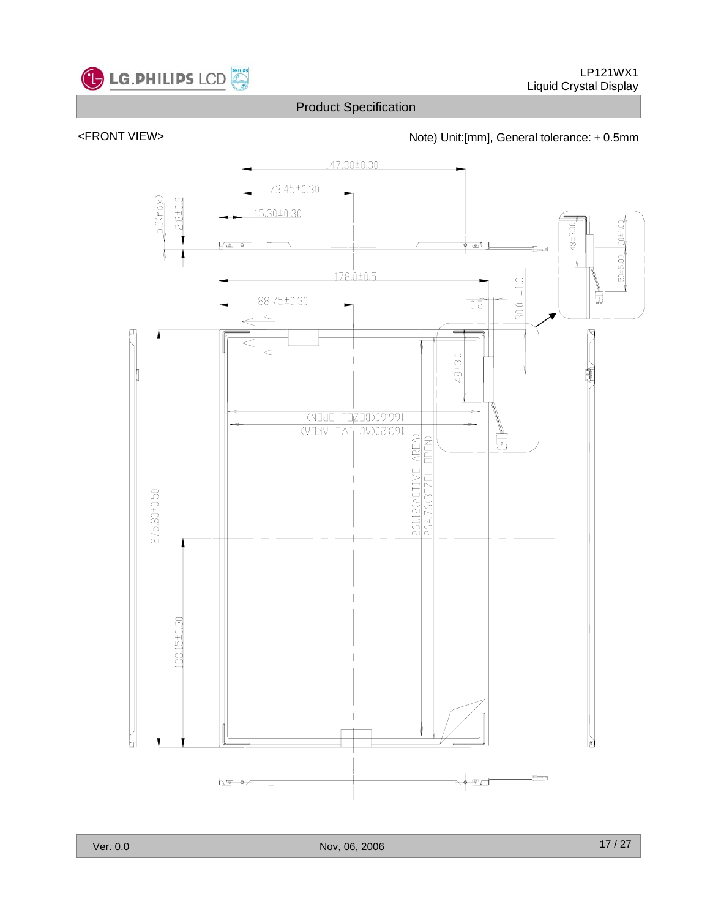



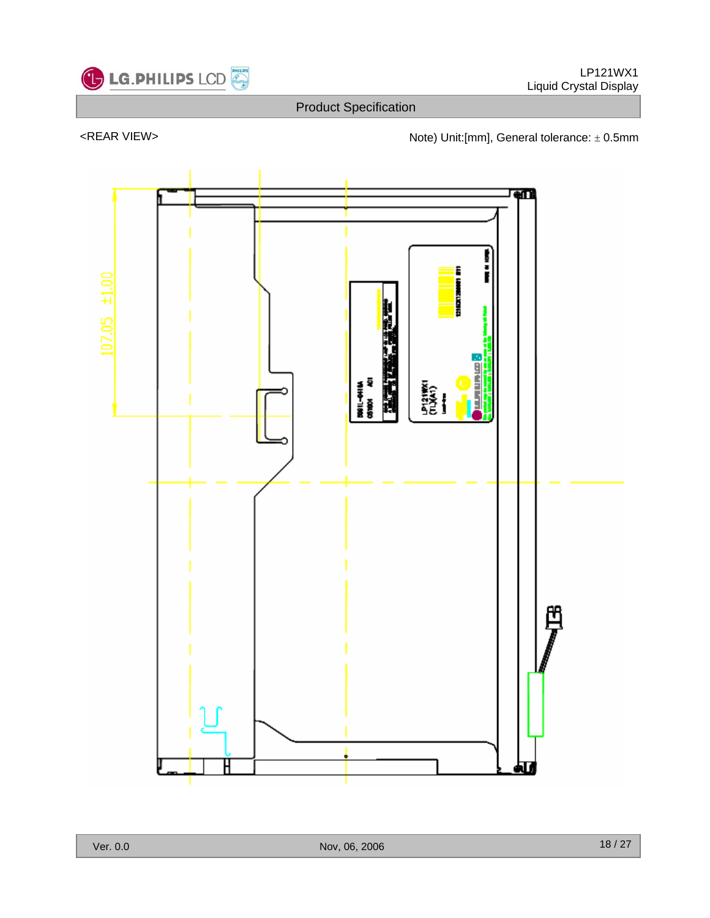

<REAR VIEW> <next and the Note) Unit:[mm], General tolerance: ± 0.5mm

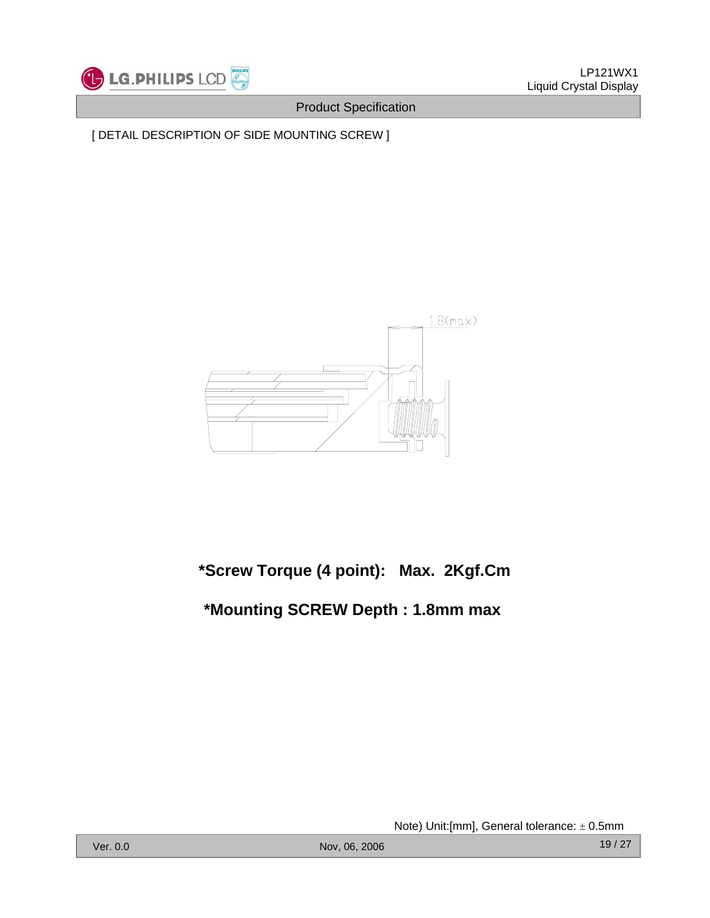

[ DETAIL DESCRIPTION OF SIDE MOUNTING SCREW ]



## **\*Screw Torque (4 point): Max. 2Kgf.Cm**

## **\*Mounting SCREW Depth : 1.8mm max**

Note) Unit:[mm], General tolerance: ± 0.5mm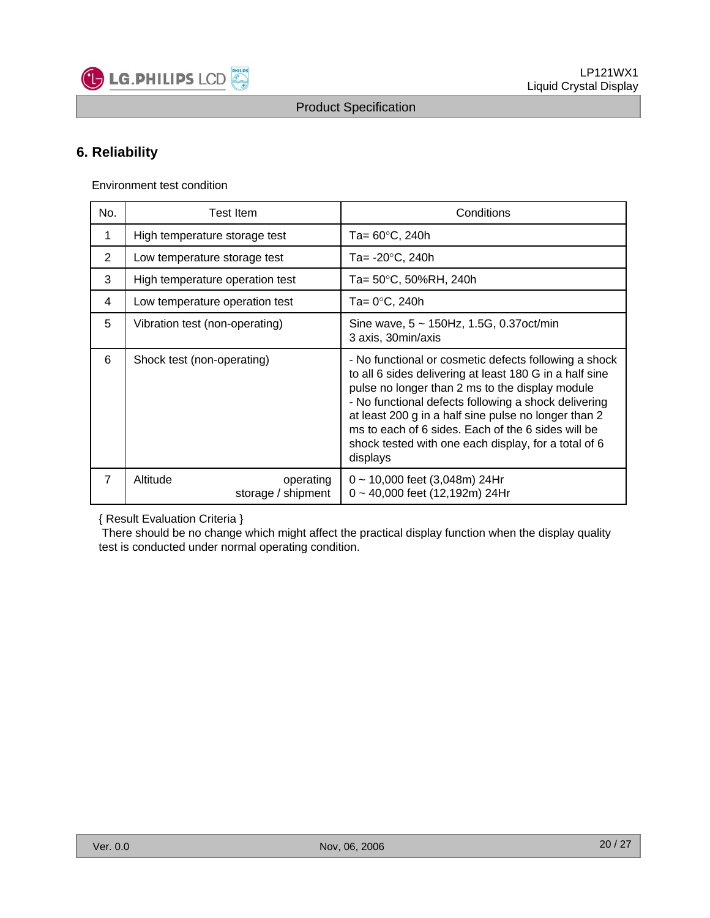

## **6. Reliability**

Environment test condition

LG.PHILIPS LCD

| No.            | Test Item                                   | Conditions                                                                                                                                                                                                                                                                                                                                                                                                    |  |  |  |  |  |
|----------------|---------------------------------------------|---------------------------------------------------------------------------------------------------------------------------------------------------------------------------------------------------------------------------------------------------------------------------------------------------------------------------------------------------------------------------------------------------------------|--|--|--|--|--|
| 1              | High temperature storage test               | Ta= 60°C, 240h                                                                                                                                                                                                                                                                                                                                                                                                |  |  |  |  |  |
| 2              | Low temperature storage test                | Ta= -20°C, 240h                                                                                                                                                                                                                                                                                                                                                                                               |  |  |  |  |  |
| 3              | High temperature operation test             | Ta= 50°C, 50%RH, 240h                                                                                                                                                                                                                                                                                                                                                                                         |  |  |  |  |  |
| 4              | Low temperature operation test              | Ta= 0°C, 240h                                                                                                                                                                                                                                                                                                                                                                                                 |  |  |  |  |  |
| 5              | Vibration test (non-operating)              | Sine wave, $5 \sim 150$ Hz, 1.5G, 0.37 oct/min<br>3 axis, 30 min/axis                                                                                                                                                                                                                                                                                                                                         |  |  |  |  |  |
| 6              | Shock test (non-operating)                  | - No functional or cosmetic defects following a shock<br>to all 6 sides delivering at least 180 G in a half sine<br>pulse no longer than 2 ms to the display module<br>- No functional defects following a shock delivering<br>at least 200 g in a half sine pulse no longer than 2<br>ms to each of 6 sides. Each of the 6 sides will be<br>shock tested with one each display, for a total of 6<br>displays |  |  |  |  |  |
| $\overline{7}$ | Altitude<br>operating<br>storage / shipment | $0 \sim 10,000$ feet (3,048m) 24Hr<br>$0 \sim 40,000$ feet (12,192m) 24Hr                                                                                                                                                                                                                                                                                                                                     |  |  |  |  |  |

#### { Result Evaluation Criteria }

There should be no change which might affect the practical display function when the display quality test is conducted under normal operating condition.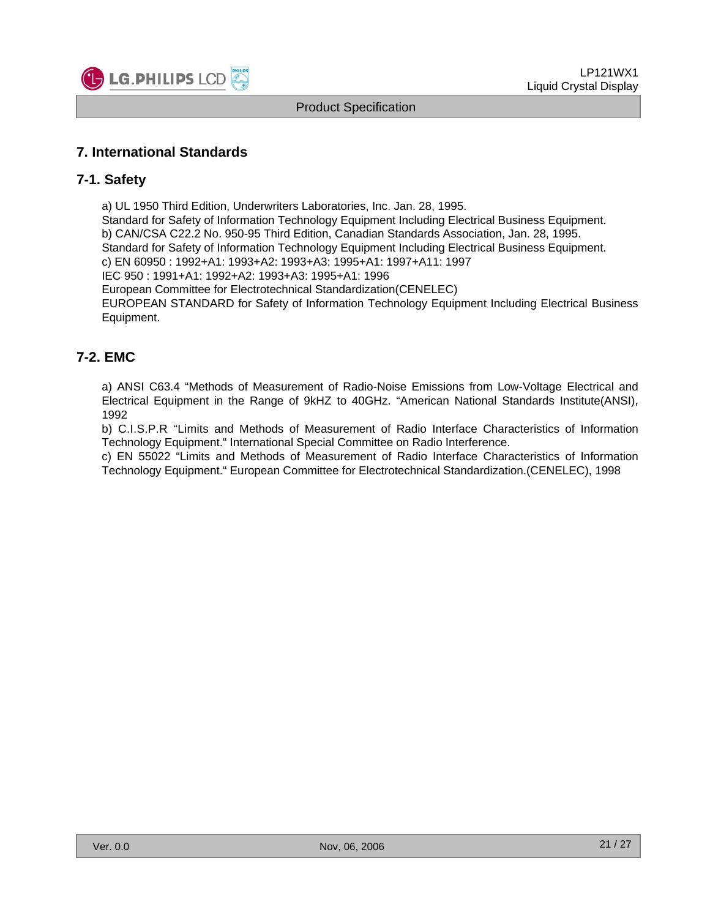

### **7. International Standards**

#### **7-1. Safety**

a) UL 1950 Third Edition, Underwriters Laboratories, Inc. Jan. 28, 1995.

Standard for Safety of Information Technology Equipment Including Electrical Business Equipment.

b) CAN/CSA C22.2 No. 950-95 Third Edition, Canadian Standards Association, Jan. 28, 1995.

Standard for Safety of Information Technology Equipment Including Electrical Business Equipment.

c) EN 60950 : 1992+A1: 1993+A2: 1993+A3: 1995+A1: 1997+A11: 1997

IEC 950 : 1991+A1: 1992+A2: 1993+A3: 1995+A1: 1996

European Committee for Electrotechnical Standardization(CENELEC)

EUROPEAN STANDARD for Safety of Information Technology Equipment Including Electrical Business Equipment.

#### **7-2. EMC**

a) ANSI C63.4 "Methods of Measurement of Radio-Noise Emissions from Low-Voltage Electrical and Electrical Equipment in the Range of 9kHZ to 40GHz. "American National Standards Institute(ANSI), 1992

b) C.I.S.P.R "Limits and Methods of Measurement of Radio Interface Characteristics of Information Technology Equipment." International Special Committee on Radio Interference.

c) EN 55022 "Limits and Methods of Measurement of Radio Interface Characteristics of Information Technology Equipment." European Committee for Electrotechnical Standardization.(CENELEC), 1998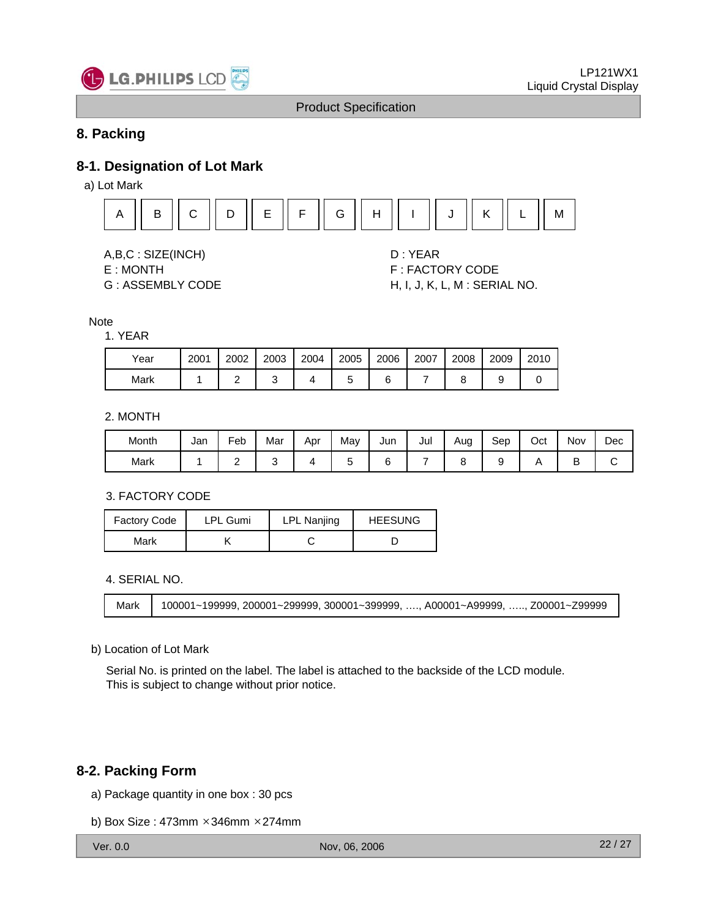

## **8. Packing**

#### **8-1. Designation of Lot Mark**

a) Lot Mark



A,B,C : SIZE(INCH) D : YEAR

- 
- 

E : MONTH F : FACTORY CODE G : ASSEMBLY CODE H, I, J, K, L, M : SERIAL NO.

#### **Note**

#### 1. YEAR

| Year | 2001 | 2002 | 2003 | 2004 | 2005 | 2006 | 2007 | 2008 | 2009 | 2010 |
|------|------|------|------|------|------|------|------|------|------|------|
| Mark |      |      |      |      |      |      |      |      |      |      |

#### 2. MONTH

| Month | Jan | Feb | Mar | Apr | May | Jun | Jul | Aug<br>J | Sep | Oct | Nov | Dec |
|-------|-----|-----|-----|-----|-----|-----|-----|----------|-----|-----|-----|-----|
| Mark  |     | -   |     |     |     |     |     |          |     |     | ∽   |     |

#### 3. FACTORY CODE

| <b>Factory Code</b> | <b>LPL Gumi</b> |  | <b>HEESUNG</b> |  |  |
|---------------------|-----------------|--|----------------|--|--|
| Mark                |                 |  |                |  |  |

#### 4. SERIAL NO.

```
Mark 100001~199999, 200001~299999, 300001~399999, …., A00001~A99999, ….., Z00001~Z99999
```
#### b) Location of Lot Mark

Serial No. is printed on the label. The label is attached to the backside of the LCD module. This is subject to change without prior notice.

#### **8-2. Packing Form**

- a) Package quantity in one box : 30 pcs
- b) Box Size : 473mm ×346mm ×274mm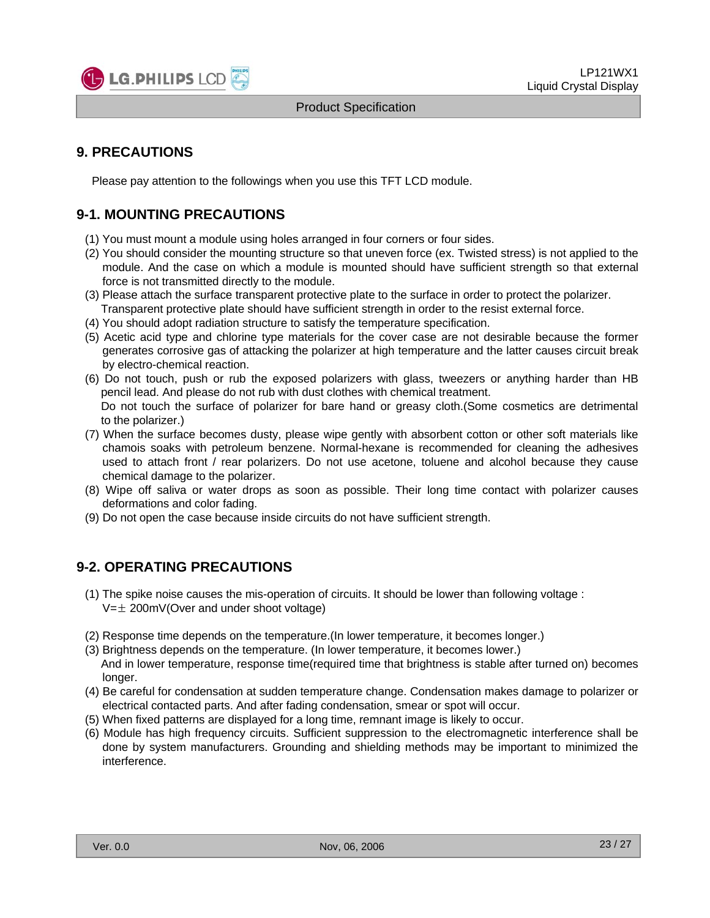

### **9. PRECAUTIONS**

Please pay attention to the followings when you use this TFT LCD module.

## **9-1. MOUNTING PRECAUTIONS**

- (1) You must mount a module using holes arranged in four corners or four sides.
- (2) You should consider the mounting structure so that uneven force (ex. Twisted stress) is not applied to the module. And the case on which a module is mounted should have sufficient strength so that external force is not transmitted directly to the module.
- (3) Please attach the surface transparent protective plate to the surface in order to protect the polarizer. Transparent protective plate should have sufficient strength in order to the resist external force.
- (4) You should adopt radiation structure to satisfy the temperature specification.
- (5) Acetic acid type and chlorine type materials for the cover case are not desirable because the former generates corrosive gas of attacking the polarizer at high temperature and the latter causes circuit break by electro-chemical reaction.
- (6) Do not touch, push or rub the exposed polarizers with glass, tweezers or anything harder than HB pencil lead. And please do not rub with dust clothes with chemical treatment. Do not touch the surface of polarizer for bare hand or greasy cloth.(Some cosmetics are detrimental
- to the polarizer.) (7) When the surface becomes dusty, please wipe gently with absorbent cotton or other soft materials like chamois soaks with petroleum benzene. Normal-hexane is recommended for cleaning the adhesives
- used to attach front / rear polarizers. Do not use acetone, toluene and alcohol because they cause chemical damage to the polarizer.
- (8) Wipe off saliva or water drops as soon as possible. Their long time contact with polarizer causes deformations and color fading.
- (9) Do not open the case because inside circuits do not have sufficient strength.

#### **9-2. OPERATING PRECAUTIONS**

- (1) The spike noise causes the mis-operation of circuits. It should be lower than following voltage :  $V=\pm 200$ mV(Over and under shoot voltage)
- (2) Response time depends on the temperature.(In lower temperature, it becomes longer.)
- (3) Brightness depends on the temperature. (In lower temperature, it becomes lower.) And in lower temperature, response time(required time that brightness is stable after turned on) becomes longer.
- (4) Be careful for condensation at sudden temperature change. Condensation makes damage to polarizer or electrical contacted parts. And after fading condensation, smear or spot will occur.
- (5) When fixed patterns are displayed for a long time, remnant image is likely to occur.
- (6) Module has high frequency circuits. Sufficient suppression to the electromagnetic interference shall be done by system manufacturers. Grounding and shielding methods may be important to minimized the interference.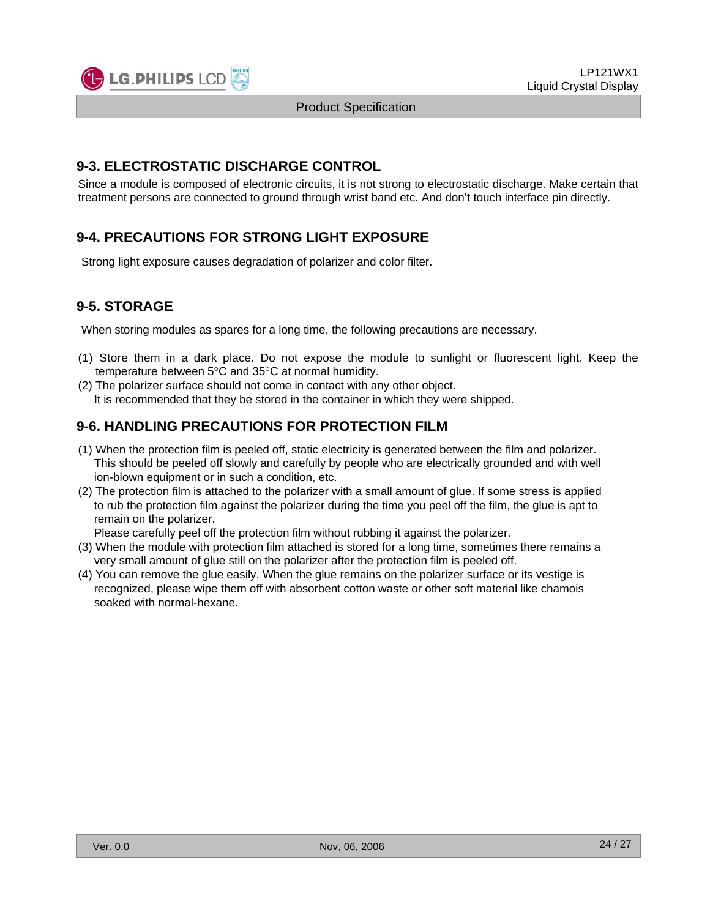#### **9-3. ELECTROSTATIC DISCHARGE CONTROL**

Since a module is composed of electronic circuits, it is not strong to electrostatic discharge. Make certain that treatment persons are connected to ground through wrist band etc. And don't touch interface pin directly.

## **9-4. PRECAUTIONS FOR STRONG LIGHT EXPOSURE**

Strong light exposure causes degradation of polarizer and color filter.

## **9-5. STORAGE**

When storing modules as spares for a long time, the following precautions are necessary.

- (1) Store them in a dark place. Do not expose the module to sunlight or fluorescent light. Keep the temperature between 5°C and 35°C at normal humidity.
- (2) The polarizer surface should not come in contact with any other object. It is recommended that they be stored in the container in which they were shipped.

### **9-6. HANDLING PRECAUTIONS FOR PROTECTION FILM**

- (1) When the protection film is peeled off, static electricity is generated between the film and polarizer. This should be peeled off slowly and carefully by people who are electrically grounded and with well ion-blown equipment or in such a condition, etc.
- (2) The protection film is attached to the polarizer with a small amount of glue. If some stress is applied to rub the protection film against the polarizer during the time you peel off the film, the glue is apt to remain on the polarizer.

Please carefully peel off the protection film without rubbing it against the polarizer.

- (3) When the module with protection film attached is stored for a long time, sometimes there remains a very small amount of glue still on the polarizer after the protection film is peeled off.
- (4) You can remove the glue easily. When the glue remains on the polarizer surface or its vestige is recognized, please wipe them off with absorbent cotton waste or other soft material like chamois soaked with normal-hexane.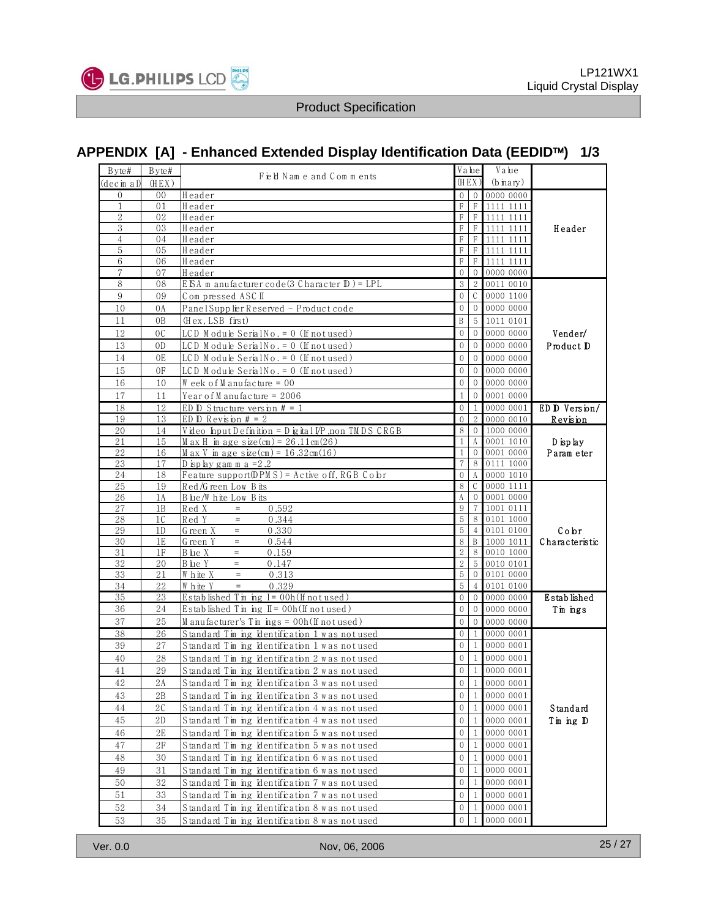

## **APPENDIX [A] - Enhanced Extended Display Identification Data (EEDID**™**) 1/3**

| Byte#                          | Byte#    | Field Nam e and Comments                                           |                   | Value          | Value                  |                |
|--------------------------------|----------|--------------------------------------------------------------------|-------------------|----------------|------------------------|----------------|
| (decim al                      | (HEX)    |                                                                    | (HEX)             |                | $(b\,\text{inary})$    |                |
| 0                              | 00       | Header                                                             | $\mathbf{0}$      | $\overline{0}$ | 0000 0000              |                |
| $\mathbf{1}$<br>$\overline{2}$ | 01       | Header                                                             | F                 | $_{\rm F}$     | 1111 1111              |                |
| 3                              | 02<br>03 | Header<br>Header                                                   | F<br>F            | F<br>F         | 1111 1111<br>1111 1111 | Header         |
| 4                              | 04       | Header                                                             | F                 | F              | 1111 1111              |                |
| 5                              | 05       | Header                                                             | $\mathbf F$       | F              | 1111 1111              |                |
| 6                              | 06       | Header                                                             | $\mathbf F$       | F              | 1111 1111              |                |
| $\tau$                         | 07       | Header                                                             | $\mathbf{0}$      | $\Omega$       | 0000 0000              |                |
| 8                              | 08       | <u>E ISA m anufacturer code (3 Character ID) = LPL</u>             | 3                 | $\overline{2}$ | 00110010               |                |
| 9                              | 09       | Compressed ASC II                                                  | $\mathbf{0}$      | C              | 0000 1100              |                |
| 10                             | 0A       | PanelSupp lier Reserved - Product code                             | $\mathbf{0}$      | $\mathbf{0}$   | 0000 0000              |                |
| 11                             | 0B       | (Hex, LSB first)                                                   | B                 | 5              | 1011 0101              |                |
| 12                             | 0C       | LCD Module SerialNo. = 0 (If not used)                             | $\theta$          | $\Omega$       | 0000 0000              | Vender/        |
| 13                             | 0D       | $LCD$ Module Serial No. = 0 (If not used)                          | $\theta$          |                | 0000 0000              | Product D      |
| 14                             | 0E       | <u>LCD Module SerialNo. = 0 (If not used)</u>                      | $\mathbf{0}$      | $\mathbf{0}$   | 0000 0000              |                |
| 15                             | 0F       | LCD Module SerialNo. = 0 (If not used)                             | $\mathbf{0}$      |                | 0000 0000              |                |
|                                |          |                                                                    | $\theta$          |                |                        |                |
| 16                             | 10       | Week of Manufacture = 00                                           |                   | $\Omega$       | 0000 0000              |                |
| 17                             | 11       | Year of M anufacture = $2006$                                      | $\mathbf{1}$      | $\Omega$       | 0001 0000              |                |
| 18                             | 12       | ED $D$ Structure version $# = 1$                                   | $\mathbf{0}$      | $\mathbf{1}$   | 0000 0001              | ED D Version/  |
| 19                             | 13       | ED D Revision $# = 2$                                              | $\Omega$          |                | 0000 0010              | Revision       |
| 20                             | 14       | Video Input Definition = Digital I/P, non TM DS CRGB               | 8                 | $\overline{0}$ | 1000 0000              |                |
| 21<br>22                       | 15       | $M$ ax H im age size(cm) = 26.11cm(26)                             | 1<br>$\mathbf{1}$ | A              | 0001 1010<br>0001 0000 | $D$ isp lay    |
| 23                             | 16<br>17 | $M$ ax V in age size(cm) = 16.32cm(16)<br>D isp lay gam m a $=2.2$ | $\overline{7}$    | 8              | 0111 1000              | Param eter     |
| 24                             | 18       | Feature support(DPM S) = Active off, RGB Cobr                      | $\theta$          |                | 0000 1010              |                |
| 25                             | 19       | Red/Green Low Bits                                                 | 8                 | C.             | 0000 1111              |                |
| 26                             | 1A       | B lue/W hite Low Bits                                              | A                 | $\mathbf{0}$   | 0001 0000              |                |
| 27                             | 1B       | 0.592<br>Red X<br>$=$ .                                            | 9                 | $\tau$         | 1001 0111              |                |
| 28                             | 1C       | Red Y<br>$=$ $\,$<br>0.344                                         | 5                 | 8              | 0101 1000              |                |
| 29                             | 1D       | Green X<br>0.330<br>$=$                                            | 5                 |                | 0101 0100              | Cobr           |
| 30                             | 1E       | $=$ $\,$<br>0.544<br>Green Y                                       | 8                 | B              | 1000 1011              | Characteristic |
| 31                             | 1F       | 0.159<br>B lue X<br>$=$                                            | $\mathbf{2}$      | 8              | 0010 1000              |                |
| 32                             | 20       | $=$<br>B lue Y<br>0.147                                            | $\overline{2}$    | 5              | 0010 0101              |                |
| 33                             | 21       | $\equiv$<br>W hite X<br>0.313                                      | 5                 | $\mathbf{0}$   | 0101 0000              |                |
| 34                             | 22       | W hite Y<br>0.329<br>$=$                                           | 5                 |                | 0101 0100              |                |
| 35                             | 23       | Established $Tm$ ing $I = 00h$ (If not used)                       | $\mathbf{0}$      | $\overline{0}$ | 0000 0000              | Established    |
| 36                             | 24       | Established Tim ing II = 00h(If not used)                          | $\mathbf{0}$      | $\overline{0}$ | 0000 0000              | Tim ings       |
| 37                             | 25       | $M$ anufacturer's $T$ in $ings = 00h$ (If not used)                | $\mathbf{0}$      | $\Omega$       | 0000 0000              |                |
| 38                             | 26       | Standard Tm ng Hentification 1 was not used                        | $\Omega$          | 1              | 0000 0001              |                |
| 39                             | 27       | Standard Timing Identification 1 was not used                      | $\theta$          | $\mathbf{1}$   | 0000 0001              |                |
| 40                             | 28       | Standard Tim ing Identification 2 was not used                     | $\Omega$          | $\mathbf{1}$   | 0000 0001              |                |
| 41                             | 29       | Standard Tim ing Hentification 2 was not used                      | $\mathbf{0}$      | $\mathbf{1}$   | 0000 0001              |                |
| $4\sqrt{2}$                    | 2A       | Standard Tim ing Mentification 3 was not used                      | $\overline{0}$    |                | 1 0000 0001            |                |
| 43                             | 2Β       | Standard Timing Identification 3 was not used                      | $\overline{0}$    | -1             | 0000 0001              |                |
| 44                             | 2C       | Standard Timing Identification 4 was not used                      | $\mathbf{0}$      | 1              | 0000 0001              | Standard       |
| 45                             | 2D       | Standard Timing Identification 4 was not used                      | $\boldsymbol{0}$  | 1              | 0000 0001              | Tin ing D      |
| 46                             | 2Ε       | Standard Timing Identification 5 was not used                      | $\mathbf{0}$      | 1              | 0000 0001              |                |
| 47                             | 2F       |                                                                    | $\mathbf{0}$      |                | 0000 0001              |                |
|                                |          | Standard Timing Identification 5 was not used                      | $\mathbf{0}$      |                |                        |                |
| 48                             | 30       | Standard Tim ing Identification 6 was not used                     |                   | 1              | 0000 0001              |                |
| 49                             | 31       | Standard Tim ing Identification 6 was not used                     | $\mathbf{0}$      | 1              | 0000 0001              |                |
| 50                             | 32       | Standard Timing Identification 7 was not used                      | $\mathbf{0}$      | 1              | 0000 0001              |                |
| 51                             | 33       | Standard Tim ing Identification 7 was not used                     | $\mathbf{0}$      | 1              | 0000 0001              |                |
| 52                             | 34       | Standard Tm ing Identification 8 was not used                      | $\mathbf{0}$      | 1              | 0000 0001              |                |
| 53                             | 35       | Standard Tim ing Identification 8 was not used                     | $\mathbf{0}$      | $\mathbf{1}$   | 0000 0001              |                |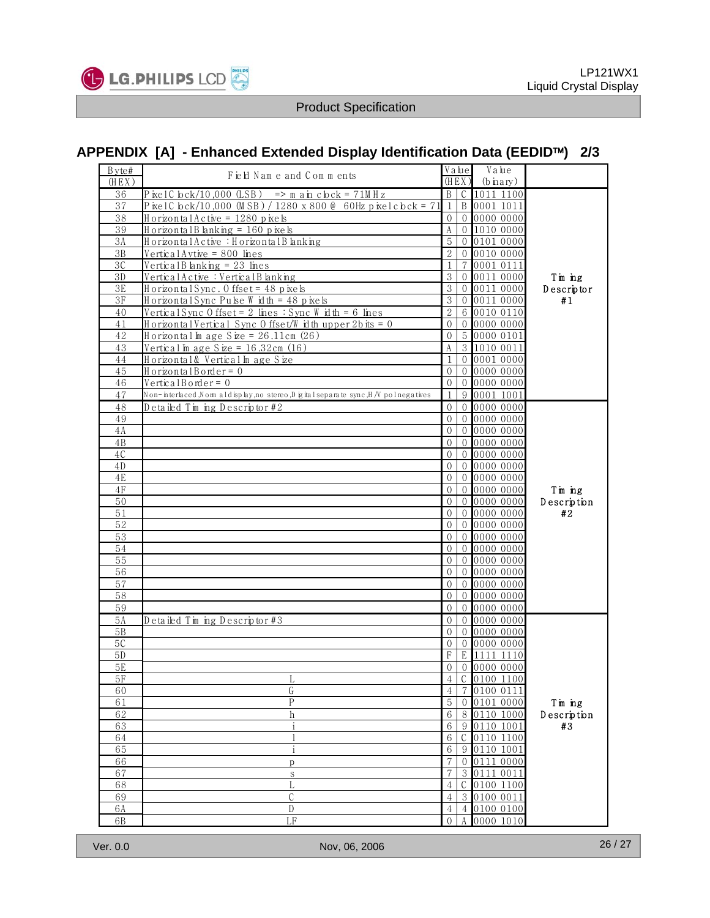

## **APPENDIX [A] - Enhanced Extended Display Identification Data (EEDID**™**) 2/3**

| (HEX)<br>(HEX)<br>$\overline{B}$<br>$C$ 1011 1100<br>$\overline{P}$ ixel C lock/10,000 (LSB) => m a in c lock = 71M H z<br>36<br>P kelC b ck/10,000 (M SB) / 1280 x 800 @ 60Hz p kelc b ck = 71<br>$\mathbf{1}$<br>B 0001 1011<br>37<br>38<br>Horizontal Active = 1280 pixels<br>0 0000 0000<br>0<br>39<br>HorizontalBlanking = 160 pixels<br>$\boldsymbol{A}$<br>0 1010 0000<br>$\mathbf 5$<br>3A<br>Horizontal Active: Horizontal Blanking<br>0 0 10 1 0 0 0 0<br>$\overline{2}$<br>0010 0000<br>3B<br><u>VerticalAvtive = 800 lines</u><br>$\overline{0}$<br>3C<br>Vertical B lanking = $23$ lines<br>$\mathbf{1}$<br>7 0001 0111<br>3<br>3D<br>VerticalActive: VerticalB lanking<br>0011 0000<br>$\Omega$<br>Tin ing<br>$\overline{3}$<br>3E<br>Horizontal Sync. 0 ffset = 48 pixels<br>0 0011 0000<br>Descriptor<br>$\,3$<br>3F<br>0 0011 0000<br>Horizontal Sync Pulse Width = 48 pixels<br>#1<br>$\overline{2}$<br>Vertical Sync 0 ffset = 2 lines : Sync W idth = 6 lines<br>6 0010 0110<br>40<br>0 0000 0000<br>41<br>HorizontalVertical Sync Offset/Width upper 2bits = 0<br>$\overline{0}$<br>42<br>Horizontal In age Size = $26.11cm$ (26)<br>5 0000 0101<br>$\theta$<br>A<br>3 1010 0011<br>43<br>Vertical In age Size = $16.32cm$ (16)<br>$\mathbf{1}$<br>0 0001 0000<br>44<br>Horizontal& Vertical In age Size<br>45<br>HorizontalBorder = 0<br>$\mathbf 0$<br>0 0000 0000<br>46<br>$VerticalBonder = 0$<br>$\theta$<br>$\overline{0}$ 0000 0000<br>$\mathbf{1}$<br>9 0001 1001<br>47<br>Non-interlaced ,Nom aldisplay,no stereo,D igital separate sync,H /V polnegatives<br>0 0000 0000<br>48<br>Detailed Timing Descriptor #2<br>$\Omega$<br>0 0000 0000<br>49<br>$\Omega$<br>0 0000 0000<br>4A<br>$\Omega$<br>0 0000 0000<br>$\mathbf{0}$<br>4B<br>0 0000 0000<br>4C<br>$\Omega$<br>0 0000 0000<br>4D<br>$\Omega$<br>$4E$<br>$\Omega$<br>0 0000 0000<br>0 0000 0000<br>4F<br>$\Omega$<br>Tim ing<br>50<br>000000000<br>$\Omega$<br>Description<br>0 0000 0000<br>51<br>$\Omega$<br>#2<br>52<br>0 0000 0000<br>$\Omega$<br>0 0000 0000<br>53<br>$\Omega$<br>$\Omega$<br>0 0000 0000<br>54<br>55<br>0 0000 0000<br>$\Omega$<br>00000000<br>56<br>$\Omega$<br>0 0000 0000<br>57<br>$\Omega$<br>0 0000 0000<br>58<br>$\Omega$<br>000000000<br>59<br>$\mathbf 0$<br>5A<br>Detailed Timing Descriptor#3<br>0 0000 0000<br>$\overline{0}$<br>0 0000 0000<br>5B<br>$\Omega$<br>5C<br>0 0000 0000<br>$\theta$<br>F<br>E 1111 1110<br>5D<br>5E<br>0 0000 0000<br>$\mathbf 0$<br>C 0100 1100<br>$\overline{4}$<br>5F<br>L<br>0100 0111<br>60<br>G<br>4<br>$\overline{5}$<br>$\mathsf{P}$<br>61<br>0101 0000<br>Tin ing<br>$\overline{0}$<br>62<br>6<br>8 0110 1000<br>Description<br>h<br>$\mathbf{i}$<br>0110 1001<br>#3<br>63<br>6<br>9<br>0110 1100<br>64<br>6<br>С<br>65<br>6<br>0110 1001<br>9<br>i<br>7<br>0111 0000<br>66<br>$\mathbf{0}$<br>D<br>7<br>67<br>$\sqrt{3}$<br>0111 0011<br>$\mathbf S$<br>$\overline{4}$<br>68<br>L<br>C<br>0100 1100<br>69<br>C<br>$\overline{4}$<br>$\sqrt{3}$<br>$\overline{0100}0011$<br>${\mathbb D}$<br>6A<br>$\overline{4}$<br>0100 0100<br>4<br>6B<br>LF<br>0000 1010<br>$\Omega$ | Byte# | Field Name and Comments | Value | Value       |  |
|--------------------------------------------------------------------------------------------------------------------------------------------------------------------------------------------------------------------------------------------------------------------------------------------------------------------------------------------------------------------------------------------------------------------------------------------------------------------------------------------------------------------------------------------------------------------------------------------------------------------------------------------------------------------------------------------------------------------------------------------------------------------------------------------------------------------------------------------------------------------------------------------------------------------------------------------------------------------------------------------------------------------------------------------------------------------------------------------------------------------------------------------------------------------------------------------------------------------------------------------------------------------------------------------------------------------------------------------------------------------------------------------------------------------------------------------------------------------------------------------------------------------------------------------------------------------------------------------------------------------------------------------------------------------------------------------------------------------------------------------------------------------------------------------------------------------------------------------------------------------------------------------------------------------------------------------------------------------------------------------------------------------------------------------------------------------------------------------------------------------------------------------------------------------------------------------------------------------------------------------------------------------------------------------------------------------------------------------------------------------------------------------------------------------------------------------------------------------------------------------------------------------------------------------------------------------------------------------------------------------------------------------------------------------------------------------------------------------------------------------------------------------------------------------------------------------------------------------------------------------------------------------------------------------------------------------------------------------------------------------------------------------------------------------------------------------------------------------------------------------------------------|-------|-------------------------|-------|-------------|--|
|                                                                                                                                                                                                                                                                                                                                                                                                                                                                                                                                                                                                                                                                                                                                                                                                                                                                                                                                                                                                                                                                                                                                                                                                                                                                                                                                                                                                                                                                                                                                                                                                                                                                                                                                                                                                                                                                                                                                                                                                                                                                                                                                                                                                                                                                                                                                                                                                                                                                                                                                                                                                                                                                                                                                                                                                                                                                                                                                                                                                                                                                                                                                      |       |                         |       | $(b$ inary) |  |
|                                                                                                                                                                                                                                                                                                                                                                                                                                                                                                                                                                                                                                                                                                                                                                                                                                                                                                                                                                                                                                                                                                                                                                                                                                                                                                                                                                                                                                                                                                                                                                                                                                                                                                                                                                                                                                                                                                                                                                                                                                                                                                                                                                                                                                                                                                                                                                                                                                                                                                                                                                                                                                                                                                                                                                                                                                                                                                                                                                                                                                                                                                                                      |       |                         |       |             |  |
|                                                                                                                                                                                                                                                                                                                                                                                                                                                                                                                                                                                                                                                                                                                                                                                                                                                                                                                                                                                                                                                                                                                                                                                                                                                                                                                                                                                                                                                                                                                                                                                                                                                                                                                                                                                                                                                                                                                                                                                                                                                                                                                                                                                                                                                                                                                                                                                                                                                                                                                                                                                                                                                                                                                                                                                                                                                                                                                                                                                                                                                                                                                                      |       |                         |       |             |  |
|                                                                                                                                                                                                                                                                                                                                                                                                                                                                                                                                                                                                                                                                                                                                                                                                                                                                                                                                                                                                                                                                                                                                                                                                                                                                                                                                                                                                                                                                                                                                                                                                                                                                                                                                                                                                                                                                                                                                                                                                                                                                                                                                                                                                                                                                                                                                                                                                                                                                                                                                                                                                                                                                                                                                                                                                                                                                                                                                                                                                                                                                                                                                      |       |                         |       |             |  |
|                                                                                                                                                                                                                                                                                                                                                                                                                                                                                                                                                                                                                                                                                                                                                                                                                                                                                                                                                                                                                                                                                                                                                                                                                                                                                                                                                                                                                                                                                                                                                                                                                                                                                                                                                                                                                                                                                                                                                                                                                                                                                                                                                                                                                                                                                                                                                                                                                                                                                                                                                                                                                                                                                                                                                                                                                                                                                                                                                                                                                                                                                                                                      |       |                         |       |             |  |
|                                                                                                                                                                                                                                                                                                                                                                                                                                                                                                                                                                                                                                                                                                                                                                                                                                                                                                                                                                                                                                                                                                                                                                                                                                                                                                                                                                                                                                                                                                                                                                                                                                                                                                                                                                                                                                                                                                                                                                                                                                                                                                                                                                                                                                                                                                                                                                                                                                                                                                                                                                                                                                                                                                                                                                                                                                                                                                                                                                                                                                                                                                                                      |       |                         |       |             |  |
|                                                                                                                                                                                                                                                                                                                                                                                                                                                                                                                                                                                                                                                                                                                                                                                                                                                                                                                                                                                                                                                                                                                                                                                                                                                                                                                                                                                                                                                                                                                                                                                                                                                                                                                                                                                                                                                                                                                                                                                                                                                                                                                                                                                                                                                                                                                                                                                                                                                                                                                                                                                                                                                                                                                                                                                                                                                                                                                                                                                                                                                                                                                                      |       |                         |       |             |  |
|                                                                                                                                                                                                                                                                                                                                                                                                                                                                                                                                                                                                                                                                                                                                                                                                                                                                                                                                                                                                                                                                                                                                                                                                                                                                                                                                                                                                                                                                                                                                                                                                                                                                                                                                                                                                                                                                                                                                                                                                                                                                                                                                                                                                                                                                                                                                                                                                                                                                                                                                                                                                                                                                                                                                                                                                                                                                                                                                                                                                                                                                                                                                      |       |                         |       |             |  |
|                                                                                                                                                                                                                                                                                                                                                                                                                                                                                                                                                                                                                                                                                                                                                                                                                                                                                                                                                                                                                                                                                                                                                                                                                                                                                                                                                                                                                                                                                                                                                                                                                                                                                                                                                                                                                                                                                                                                                                                                                                                                                                                                                                                                                                                                                                                                                                                                                                                                                                                                                                                                                                                                                                                                                                                                                                                                                                                                                                                                                                                                                                                                      |       |                         |       |             |  |
|                                                                                                                                                                                                                                                                                                                                                                                                                                                                                                                                                                                                                                                                                                                                                                                                                                                                                                                                                                                                                                                                                                                                                                                                                                                                                                                                                                                                                                                                                                                                                                                                                                                                                                                                                                                                                                                                                                                                                                                                                                                                                                                                                                                                                                                                                                                                                                                                                                                                                                                                                                                                                                                                                                                                                                                                                                                                                                                                                                                                                                                                                                                                      |       |                         |       |             |  |
|                                                                                                                                                                                                                                                                                                                                                                                                                                                                                                                                                                                                                                                                                                                                                                                                                                                                                                                                                                                                                                                                                                                                                                                                                                                                                                                                                                                                                                                                                                                                                                                                                                                                                                                                                                                                                                                                                                                                                                                                                                                                                                                                                                                                                                                                                                                                                                                                                                                                                                                                                                                                                                                                                                                                                                                                                                                                                                                                                                                                                                                                                                                                      |       |                         |       |             |  |
|                                                                                                                                                                                                                                                                                                                                                                                                                                                                                                                                                                                                                                                                                                                                                                                                                                                                                                                                                                                                                                                                                                                                                                                                                                                                                                                                                                                                                                                                                                                                                                                                                                                                                                                                                                                                                                                                                                                                                                                                                                                                                                                                                                                                                                                                                                                                                                                                                                                                                                                                                                                                                                                                                                                                                                                                                                                                                                                                                                                                                                                                                                                                      |       |                         |       |             |  |
|                                                                                                                                                                                                                                                                                                                                                                                                                                                                                                                                                                                                                                                                                                                                                                                                                                                                                                                                                                                                                                                                                                                                                                                                                                                                                                                                                                                                                                                                                                                                                                                                                                                                                                                                                                                                                                                                                                                                                                                                                                                                                                                                                                                                                                                                                                                                                                                                                                                                                                                                                                                                                                                                                                                                                                                                                                                                                                                                                                                                                                                                                                                                      |       |                         |       |             |  |
|                                                                                                                                                                                                                                                                                                                                                                                                                                                                                                                                                                                                                                                                                                                                                                                                                                                                                                                                                                                                                                                                                                                                                                                                                                                                                                                                                                                                                                                                                                                                                                                                                                                                                                                                                                                                                                                                                                                                                                                                                                                                                                                                                                                                                                                                                                                                                                                                                                                                                                                                                                                                                                                                                                                                                                                                                                                                                                                                                                                                                                                                                                                                      |       |                         |       |             |  |
|                                                                                                                                                                                                                                                                                                                                                                                                                                                                                                                                                                                                                                                                                                                                                                                                                                                                                                                                                                                                                                                                                                                                                                                                                                                                                                                                                                                                                                                                                                                                                                                                                                                                                                                                                                                                                                                                                                                                                                                                                                                                                                                                                                                                                                                                                                                                                                                                                                                                                                                                                                                                                                                                                                                                                                                                                                                                                                                                                                                                                                                                                                                                      |       |                         |       |             |  |
|                                                                                                                                                                                                                                                                                                                                                                                                                                                                                                                                                                                                                                                                                                                                                                                                                                                                                                                                                                                                                                                                                                                                                                                                                                                                                                                                                                                                                                                                                                                                                                                                                                                                                                                                                                                                                                                                                                                                                                                                                                                                                                                                                                                                                                                                                                                                                                                                                                                                                                                                                                                                                                                                                                                                                                                                                                                                                                                                                                                                                                                                                                                                      |       |                         |       |             |  |
|                                                                                                                                                                                                                                                                                                                                                                                                                                                                                                                                                                                                                                                                                                                                                                                                                                                                                                                                                                                                                                                                                                                                                                                                                                                                                                                                                                                                                                                                                                                                                                                                                                                                                                                                                                                                                                                                                                                                                                                                                                                                                                                                                                                                                                                                                                                                                                                                                                                                                                                                                                                                                                                                                                                                                                                                                                                                                                                                                                                                                                                                                                                                      |       |                         |       |             |  |
|                                                                                                                                                                                                                                                                                                                                                                                                                                                                                                                                                                                                                                                                                                                                                                                                                                                                                                                                                                                                                                                                                                                                                                                                                                                                                                                                                                                                                                                                                                                                                                                                                                                                                                                                                                                                                                                                                                                                                                                                                                                                                                                                                                                                                                                                                                                                                                                                                                                                                                                                                                                                                                                                                                                                                                                                                                                                                                                                                                                                                                                                                                                                      |       |                         |       |             |  |
|                                                                                                                                                                                                                                                                                                                                                                                                                                                                                                                                                                                                                                                                                                                                                                                                                                                                                                                                                                                                                                                                                                                                                                                                                                                                                                                                                                                                                                                                                                                                                                                                                                                                                                                                                                                                                                                                                                                                                                                                                                                                                                                                                                                                                                                                                                                                                                                                                                                                                                                                                                                                                                                                                                                                                                                                                                                                                                                                                                                                                                                                                                                                      |       |                         |       |             |  |
|                                                                                                                                                                                                                                                                                                                                                                                                                                                                                                                                                                                                                                                                                                                                                                                                                                                                                                                                                                                                                                                                                                                                                                                                                                                                                                                                                                                                                                                                                                                                                                                                                                                                                                                                                                                                                                                                                                                                                                                                                                                                                                                                                                                                                                                                                                                                                                                                                                                                                                                                                                                                                                                                                                                                                                                                                                                                                                                                                                                                                                                                                                                                      |       |                         |       |             |  |
|                                                                                                                                                                                                                                                                                                                                                                                                                                                                                                                                                                                                                                                                                                                                                                                                                                                                                                                                                                                                                                                                                                                                                                                                                                                                                                                                                                                                                                                                                                                                                                                                                                                                                                                                                                                                                                                                                                                                                                                                                                                                                                                                                                                                                                                                                                                                                                                                                                                                                                                                                                                                                                                                                                                                                                                                                                                                                                                                                                                                                                                                                                                                      |       |                         |       |             |  |
|                                                                                                                                                                                                                                                                                                                                                                                                                                                                                                                                                                                                                                                                                                                                                                                                                                                                                                                                                                                                                                                                                                                                                                                                                                                                                                                                                                                                                                                                                                                                                                                                                                                                                                                                                                                                                                                                                                                                                                                                                                                                                                                                                                                                                                                                                                                                                                                                                                                                                                                                                                                                                                                                                                                                                                                                                                                                                                                                                                                                                                                                                                                                      |       |                         |       |             |  |
|                                                                                                                                                                                                                                                                                                                                                                                                                                                                                                                                                                                                                                                                                                                                                                                                                                                                                                                                                                                                                                                                                                                                                                                                                                                                                                                                                                                                                                                                                                                                                                                                                                                                                                                                                                                                                                                                                                                                                                                                                                                                                                                                                                                                                                                                                                                                                                                                                                                                                                                                                                                                                                                                                                                                                                                                                                                                                                                                                                                                                                                                                                                                      |       |                         |       |             |  |
|                                                                                                                                                                                                                                                                                                                                                                                                                                                                                                                                                                                                                                                                                                                                                                                                                                                                                                                                                                                                                                                                                                                                                                                                                                                                                                                                                                                                                                                                                                                                                                                                                                                                                                                                                                                                                                                                                                                                                                                                                                                                                                                                                                                                                                                                                                                                                                                                                                                                                                                                                                                                                                                                                                                                                                                                                                                                                                                                                                                                                                                                                                                                      |       |                         |       |             |  |
|                                                                                                                                                                                                                                                                                                                                                                                                                                                                                                                                                                                                                                                                                                                                                                                                                                                                                                                                                                                                                                                                                                                                                                                                                                                                                                                                                                                                                                                                                                                                                                                                                                                                                                                                                                                                                                                                                                                                                                                                                                                                                                                                                                                                                                                                                                                                                                                                                                                                                                                                                                                                                                                                                                                                                                                                                                                                                                                                                                                                                                                                                                                                      |       |                         |       |             |  |
|                                                                                                                                                                                                                                                                                                                                                                                                                                                                                                                                                                                                                                                                                                                                                                                                                                                                                                                                                                                                                                                                                                                                                                                                                                                                                                                                                                                                                                                                                                                                                                                                                                                                                                                                                                                                                                                                                                                                                                                                                                                                                                                                                                                                                                                                                                                                                                                                                                                                                                                                                                                                                                                                                                                                                                                                                                                                                                                                                                                                                                                                                                                                      |       |                         |       |             |  |
|                                                                                                                                                                                                                                                                                                                                                                                                                                                                                                                                                                                                                                                                                                                                                                                                                                                                                                                                                                                                                                                                                                                                                                                                                                                                                                                                                                                                                                                                                                                                                                                                                                                                                                                                                                                                                                                                                                                                                                                                                                                                                                                                                                                                                                                                                                                                                                                                                                                                                                                                                                                                                                                                                                                                                                                                                                                                                                                                                                                                                                                                                                                                      |       |                         |       |             |  |
|                                                                                                                                                                                                                                                                                                                                                                                                                                                                                                                                                                                                                                                                                                                                                                                                                                                                                                                                                                                                                                                                                                                                                                                                                                                                                                                                                                                                                                                                                                                                                                                                                                                                                                                                                                                                                                                                                                                                                                                                                                                                                                                                                                                                                                                                                                                                                                                                                                                                                                                                                                                                                                                                                                                                                                                                                                                                                                                                                                                                                                                                                                                                      |       |                         |       |             |  |
|                                                                                                                                                                                                                                                                                                                                                                                                                                                                                                                                                                                                                                                                                                                                                                                                                                                                                                                                                                                                                                                                                                                                                                                                                                                                                                                                                                                                                                                                                                                                                                                                                                                                                                                                                                                                                                                                                                                                                                                                                                                                                                                                                                                                                                                                                                                                                                                                                                                                                                                                                                                                                                                                                                                                                                                                                                                                                                                                                                                                                                                                                                                                      |       |                         |       |             |  |
|                                                                                                                                                                                                                                                                                                                                                                                                                                                                                                                                                                                                                                                                                                                                                                                                                                                                                                                                                                                                                                                                                                                                                                                                                                                                                                                                                                                                                                                                                                                                                                                                                                                                                                                                                                                                                                                                                                                                                                                                                                                                                                                                                                                                                                                                                                                                                                                                                                                                                                                                                                                                                                                                                                                                                                                                                                                                                                                                                                                                                                                                                                                                      |       |                         |       |             |  |
|                                                                                                                                                                                                                                                                                                                                                                                                                                                                                                                                                                                                                                                                                                                                                                                                                                                                                                                                                                                                                                                                                                                                                                                                                                                                                                                                                                                                                                                                                                                                                                                                                                                                                                                                                                                                                                                                                                                                                                                                                                                                                                                                                                                                                                                                                                                                                                                                                                                                                                                                                                                                                                                                                                                                                                                                                                                                                                                                                                                                                                                                                                                                      |       |                         |       |             |  |
|                                                                                                                                                                                                                                                                                                                                                                                                                                                                                                                                                                                                                                                                                                                                                                                                                                                                                                                                                                                                                                                                                                                                                                                                                                                                                                                                                                                                                                                                                                                                                                                                                                                                                                                                                                                                                                                                                                                                                                                                                                                                                                                                                                                                                                                                                                                                                                                                                                                                                                                                                                                                                                                                                                                                                                                                                                                                                                                                                                                                                                                                                                                                      |       |                         |       |             |  |
|                                                                                                                                                                                                                                                                                                                                                                                                                                                                                                                                                                                                                                                                                                                                                                                                                                                                                                                                                                                                                                                                                                                                                                                                                                                                                                                                                                                                                                                                                                                                                                                                                                                                                                                                                                                                                                                                                                                                                                                                                                                                                                                                                                                                                                                                                                                                                                                                                                                                                                                                                                                                                                                                                                                                                                                                                                                                                                                                                                                                                                                                                                                                      |       |                         |       |             |  |
|                                                                                                                                                                                                                                                                                                                                                                                                                                                                                                                                                                                                                                                                                                                                                                                                                                                                                                                                                                                                                                                                                                                                                                                                                                                                                                                                                                                                                                                                                                                                                                                                                                                                                                                                                                                                                                                                                                                                                                                                                                                                                                                                                                                                                                                                                                                                                                                                                                                                                                                                                                                                                                                                                                                                                                                                                                                                                                                                                                                                                                                                                                                                      |       |                         |       |             |  |
|                                                                                                                                                                                                                                                                                                                                                                                                                                                                                                                                                                                                                                                                                                                                                                                                                                                                                                                                                                                                                                                                                                                                                                                                                                                                                                                                                                                                                                                                                                                                                                                                                                                                                                                                                                                                                                                                                                                                                                                                                                                                                                                                                                                                                                                                                                                                                                                                                                                                                                                                                                                                                                                                                                                                                                                                                                                                                                                                                                                                                                                                                                                                      |       |                         |       |             |  |
|                                                                                                                                                                                                                                                                                                                                                                                                                                                                                                                                                                                                                                                                                                                                                                                                                                                                                                                                                                                                                                                                                                                                                                                                                                                                                                                                                                                                                                                                                                                                                                                                                                                                                                                                                                                                                                                                                                                                                                                                                                                                                                                                                                                                                                                                                                                                                                                                                                                                                                                                                                                                                                                                                                                                                                                                                                                                                                                                                                                                                                                                                                                                      |       |                         |       |             |  |
|                                                                                                                                                                                                                                                                                                                                                                                                                                                                                                                                                                                                                                                                                                                                                                                                                                                                                                                                                                                                                                                                                                                                                                                                                                                                                                                                                                                                                                                                                                                                                                                                                                                                                                                                                                                                                                                                                                                                                                                                                                                                                                                                                                                                                                                                                                                                                                                                                                                                                                                                                                                                                                                                                                                                                                                                                                                                                                                                                                                                                                                                                                                                      |       |                         |       |             |  |
|                                                                                                                                                                                                                                                                                                                                                                                                                                                                                                                                                                                                                                                                                                                                                                                                                                                                                                                                                                                                                                                                                                                                                                                                                                                                                                                                                                                                                                                                                                                                                                                                                                                                                                                                                                                                                                                                                                                                                                                                                                                                                                                                                                                                                                                                                                                                                                                                                                                                                                                                                                                                                                                                                                                                                                                                                                                                                                                                                                                                                                                                                                                                      |       |                         |       |             |  |
|                                                                                                                                                                                                                                                                                                                                                                                                                                                                                                                                                                                                                                                                                                                                                                                                                                                                                                                                                                                                                                                                                                                                                                                                                                                                                                                                                                                                                                                                                                                                                                                                                                                                                                                                                                                                                                                                                                                                                                                                                                                                                                                                                                                                                                                                                                                                                                                                                                                                                                                                                                                                                                                                                                                                                                                                                                                                                                                                                                                                                                                                                                                                      |       |                         |       |             |  |
|                                                                                                                                                                                                                                                                                                                                                                                                                                                                                                                                                                                                                                                                                                                                                                                                                                                                                                                                                                                                                                                                                                                                                                                                                                                                                                                                                                                                                                                                                                                                                                                                                                                                                                                                                                                                                                                                                                                                                                                                                                                                                                                                                                                                                                                                                                                                                                                                                                                                                                                                                                                                                                                                                                                                                                                                                                                                                                                                                                                                                                                                                                                                      |       |                         |       |             |  |
|                                                                                                                                                                                                                                                                                                                                                                                                                                                                                                                                                                                                                                                                                                                                                                                                                                                                                                                                                                                                                                                                                                                                                                                                                                                                                                                                                                                                                                                                                                                                                                                                                                                                                                                                                                                                                                                                                                                                                                                                                                                                                                                                                                                                                                                                                                                                                                                                                                                                                                                                                                                                                                                                                                                                                                                                                                                                                                                                                                                                                                                                                                                                      |       |                         |       |             |  |
|                                                                                                                                                                                                                                                                                                                                                                                                                                                                                                                                                                                                                                                                                                                                                                                                                                                                                                                                                                                                                                                                                                                                                                                                                                                                                                                                                                                                                                                                                                                                                                                                                                                                                                                                                                                                                                                                                                                                                                                                                                                                                                                                                                                                                                                                                                                                                                                                                                                                                                                                                                                                                                                                                                                                                                                                                                                                                                                                                                                                                                                                                                                                      |       |                         |       |             |  |
|                                                                                                                                                                                                                                                                                                                                                                                                                                                                                                                                                                                                                                                                                                                                                                                                                                                                                                                                                                                                                                                                                                                                                                                                                                                                                                                                                                                                                                                                                                                                                                                                                                                                                                                                                                                                                                                                                                                                                                                                                                                                                                                                                                                                                                                                                                                                                                                                                                                                                                                                                                                                                                                                                                                                                                                                                                                                                                                                                                                                                                                                                                                                      |       |                         |       |             |  |
|                                                                                                                                                                                                                                                                                                                                                                                                                                                                                                                                                                                                                                                                                                                                                                                                                                                                                                                                                                                                                                                                                                                                                                                                                                                                                                                                                                                                                                                                                                                                                                                                                                                                                                                                                                                                                                                                                                                                                                                                                                                                                                                                                                                                                                                                                                                                                                                                                                                                                                                                                                                                                                                                                                                                                                                                                                                                                                                                                                                                                                                                                                                                      |       |                         |       |             |  |
|                                                                                                                                                                                                                                                                                                                                                                                                                                                                                                                                                                                                                                                                                                                                                                                                                                                                                                                                                                                                                                                                                                                                                                                                                                                                                                                                                                                                                                                                                                                                                                                                                                                                                                                                                                                                                                                                                                                                                                                                                                                                                                                                                                                                                                                                                                                                                                                                                                                                                                                                                                                                                                                                                                                                                                                                                                                                                                                                                                                                                                                                                                                                      |       |                         |       |             |  |
|                                                                                                                                                                                                                                                                                                                                                                                                                                                                                                                                                                                                                                                                                                                                                                                                                                                                                                                                                                                                                                                                                                                                                                                                                                                                                                                                                                                                                                                                                                                                                                                                                                                                                                                                                                                                                                                                                                                                                                                                                                                                                                                                                                                                                                                                                                                                                                                                                                                                                                                                                                                                                                                                                                                                                                                                                                                                                                                                                                                                                                                                                                                                      |       |                         |       |             |  |
|                                                                                                                                                                                                                                                                                                                                                                                                                                                                                                                                                                                                                                                                                                                                                                                                                                                                                                                                                                                                                                                                                                                                                                                                                                                                                                                                                                                                                                                                                                                                                                                                                                                                                                                                                                                                                                                                                                                                                                                                                                                                                                                                                                                                                                                                                                                                                                                                                                                                                                                                                                                                                                                                                                                                                                                                                                                                                                                                                                                                                                                                                                                                      |       |                         |       |             |  |
|                                                                                                                                                                                                                                                                                                                                                                                                                                                                                                                                                                                                                                                                                                                                                                                                                                                                                                                                                                                                                                                                                                                                                                                                                                                                                                                                                                                                                                                                                                                                                                                                                                                                                                                                                                                                                                                                                                                                                                                                                                                                                                                                                                                                                                                                                                                                                                                                                                                                                                                                                                                                                                                                                                                                                                                                                                                                                                                                                                                                                                                                                                                                      |       |                         |       |             |  |
|                                                                                                                                                                                                                                                                                                                                                                                                                                                                                                                                                                                                                                                                                                                                                                                                                                                                                                                                                                                                                                                                                                                                                                                                                                                                                                                                                                                                                                                                                                                                                                                                                                                                                                                                                                                                                                                                                                                                                                                                                                                                                                                                                                                                                                                                                                                                                                                                                                                                                                                                                                                                                                                                                                                                                                                                                                                                                                                                                                                                                                                                                                                                      |       |                         |       |             |  |
|                                                                                                                                                                                                                                                                                                                                                                                                                                                                                                                                                                                                                                                                                                                                                                                                                                                                                                                                                                                                                                                                                                                                                                                                                                                                                                                                                                                                                                                                                                                                                                                                                                                                                                                                                                                                                                                                                                                                                                                                                                                                                                                                                                                                                                                                                                                                                                                                                                                                                                                                                                                                                                                                                                                                                                                                                                                                                                                                                                                                                                                                                                                                      |       |                         |       |             |  |
|                                                                                                                                                                                                                                                                                                                                                                                                                                                                                                                                                                                                                                                                                                                                                                                                                                                                                                                                                                                                                                                                                                                                                                                                                                                                                                                                                                                                                                                                                                                                                                                                                                                                                                                                                                                                                                                                                                                                                                                                                                                                                                                                                                                                                                                                                                                                                                                                                                                                                                                                                                                                                                                                                                                                                                                                                                                                                                                                                                                                                                                                                                                                      |       |                         |       |             |  |
|                                                                                                                                                                                                                                                                                                                                                                                                                                                                                                                                                                                                                                                                                                                                                                                                                                                                                                                                                                                                                                                                                                                                                                                                                                                                                                                                                                                                                                                                                                                                                                                                                                                                                                                                                                                                                                                                                                                                                                                                                                                                                                                                                                                                                                                                                                                                                                                                                                                                                                                                                                                                                                                                                                                                                                                                                                                                                                                                                                                                                                                                                                                                      |       |                         |       |             |  |
|                                                                                                                                                                                                                                                                                                                                                                                                                                                                                                                                                                                                                                                                                                                                                                                                                                                                                                                                                                                                                                                                                                                                                                                                                                                                                                                                                                                                                                                                                                                                                                                                                                                                                                                                                                                                                                                                                                                                                                                                                                                                                                                                                                                                                                                                                                                                                                                                                                                                                                                                                                                                                                                                                                                                                                                                                                                                                                                                                                                                                                                                                                                                      |       |                         |       |             |  |
|                                                                                                                                                                                                                                                                                                                                                                                                                                                                                                                                                                                                                                                                                                                                                                                                                                                                                                                                                                                                                                                                                                                                                                                                                                                                                                                                                                                                                                                                                                                                                                                                                                                                                                                                                                                                                                                                                                                                                                                                                                                                                                                                                                                                                                                                                                                                                                                                                                                                                                                                                                                                                                                                                                                                                                                                                                                                                                                                                                                                                                                                                                                                      |       |                         |       |             |  |
|                                                                                                                                                                                                                                                                                                                                                                                                                                                                                                                                                                                                                                                                                                                                                                                                                                                                                                                                                                                                                                                                                                                                                                                                                                                                                                                                                                                                                                                                                                                                                                                                                                                                                                                                                                                                                                                                                                                                                                                                                                                                                                                                                                                                                                                                                                                                                                                                                                                                                                                                                                                                                                                                                                                                                                                                                                                                                                                                                                                                                                                                                                                                      |       |                         |       |             |  |